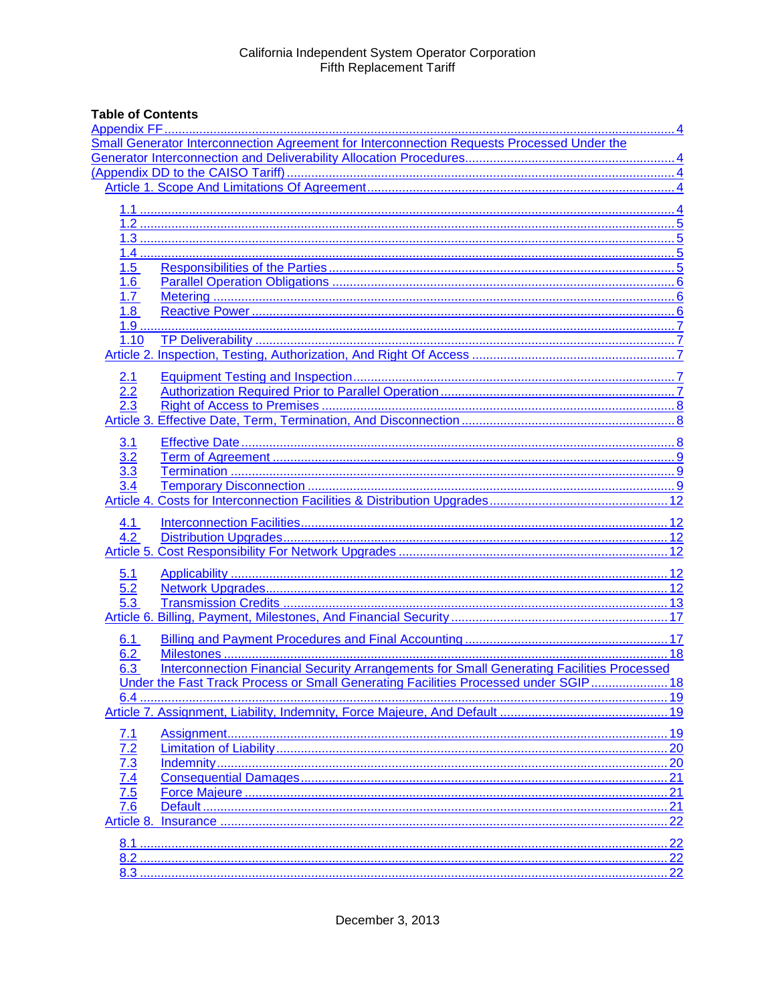# **Table of Contents**

| Small Generator Interconnection Agreement for Interconnection Requests Processed Under the<br>1.5<br>6.<br>1.7<br>1.8<br>1.10<br>2.1<br>2.2<br><u>3.1</u><br>3.2<br>3.3<br>4.1<br>4.2<br>5.1<br>5.2<br>5.3<br>6.1<br>6.2<br>Interconnection Financial Security Arrangements for Small Generating Facilities Processed<br>6.3<br>Under the Fast Track Process or Small Generating Facilities Processed under SGIP 18<br><u>7.1</u><br>$\frac{7.3}{7.4}$<br>$\frac{7.4}{7.5}$<br>$\frac{7.5}{7.6}$<br>.21<br>Article 8. |  |  |
|-----------------------------------------------------------------------------------------------------------------------------------------------------------------------------------------------------------------------------------------------------------------------------------------------------------------------------------------------------------------------------------------------------------------------------------------------------------------------------------------------------------------------|--|--|
|                                                                                                                                                                                                                                                                                                                                                                                                                                                                                                                       |  |  |
|                                                                                                                                                                                                                                                                                                                                                                                                                                                                                                                       |  |  |
|                                                                                                                                                                                                                                                                                                                                                                                                                                                                                                                       |  |  |
|                                                                                                                                                                                                                                                                                                                                                                                                                                                                                                                       |  |  |
|                                                                                                                                                                                                                                                                                                                                                                                                                                                                                                                       |  |  |
|                                                                                                                                                                                                                                                                                                                                                                                                                                                                                                                       |  |  |
|                                                                                                                                                                                                                                                                                                                                                                                                                                                                                                                       |  |  |
|                                                                                                                                                                                                                                                                                                                                                                                                                                                                                                                       |  |  |
|                                                                                                                                                                                                                                                                                                                                                                                                                                                                                                                       |  |  |
|                                                                                                                                                                                                                                                                                                                                                                                                                                                                                                                       |  |  |
|                                                                                                                                                                                                                                                                                                                                                                                                                                                                                                                       |  |  |
|                                                                                                                                                                                                                                                                                                                                                                                                                                                                                                                       |  |  |
|                                                                                                                                                                                                                                                                                                                                                                                                                                                                                                                       |  |  |
|                                                                                                                                                                                                                                                                                                                                                                                                                                                                                                                       |  |  |
|                                                                                                                                                                                                                                                                                                                                                                                                                                                                                                                       |  |  |
|                                                                                                                                                                                                                                                                                                                                                                                                                                                                                                                       |  |  |
|                                                                                                                                                                                                                                                                                                                                                                                                                                                                                                                       |  |  |
|                                                                                                                                                                                                                                                                                                                                                                                                                                                                                                                       |  |  |
|                                                                                                                                                                                                                                                                                                                                                                                                                                                                                                                       |  |  |
|                                                                                                                                                                                                                                                                                                                                                                                                                                                                                                                       |  |  |
|                                                                                                                                                                                                                                                                                                                                                                                                                                                                                                                       |  |  |
|                                                                                                                                                                                                                                                                                                                                                                                                                                                                                                                       |  |  |
|                                                                                                                                                                                                                                                                                                                                                                                                                                                                                                                       |  |  |
|                                                                                                                                                                                                                                                                                                                                                                                                                                                                                                                       |  |  |
|                                                                                                                                                                                                                                                                                                                                                                                                                                                                                                                       |  |  |
|                                                                                                                                                                                                                                                                                                                                                                                                                                                                                                                       |  |  |
|                                                                                                                                                                                                                                                                                                                                                                                                                                                                                                                       |  |  |
|                                                                                                                                                                                                                                                                                                                                                                                                                                                                                                                       |  |  |
|                                                                                                                                                                                                                                                                                                                                                                                                                                                                                                                       |  |  |
|                                                                                                                                                                                                                                                                                                                                                                                                                                                                                                                       |  |  |
|                                                                                                                                                                                                                                                                                                                                                                                                                                                                                                                       |  |  |
|                                                                                                                                                                                                                                                                                                                                                                                                                                                                                                                       |  |  |
|                                                                                                                                                                                                                                                                                                                                                                                                                                                                                                                       |  |  |
|                                                                                                                                                                                                                                                                                                                                                                                                                                                                                                                       |  |  |
|                                                                                                                                                                                                                                                                                                                                                                                                                                                                                                                       |  |  |
|                                                                                                                                                                                                                                                                                                                                                                                                                                                                                                                       |  |  |
|                                                                                                                                                                                                                                                                                                                                                                                                                                                                                                                       |  |  |
|                                                                                                                                                                                                                                                                                                                                                                                                                                                                                                                       |  |  |
|                                                                                                                                                                                                                                                                                                                                                                                                                                                                                                                       |  |  |
|                                                                                                                                                                                                                                                                                                                                                                                                                                                                                                                       |  |  |
|                                                                                                                                                                                                                                                                                                                                                                                                                                                                                                                       |  |  |
|                                                                                                                                                                                                                                                                                                                                                                                                                                                                                                                       |  |  |
|                                                                                                                                                                                                                                                                                                                                                                                                                                                                                                                       |  |  |
|                                                                                                                                                                                                                                                                                                                                                                                                                                                                                                                       |  |  |
|                                                                                                                                                                                                                                                                                                                                                                                                                                                                                                                       |  |  |
|                                                                                                                                                                                                                                                                                                                                                                                                                                                                                                                       |  |  |
|                                                                                                                                                                                                                                                                                                                                                                                                                                                                                                                       |  |  |
|                                                                                                                                                                                                                                                                                                                                                                                                                                                                                                                       |  |  |
|                                                                                                                                                                                                                                                                                                                                                                                                                                                                                                                       |  |  |
|                                                                                                                                                                                                                                                                                                                                                                                                                                                                                                                       |  |  |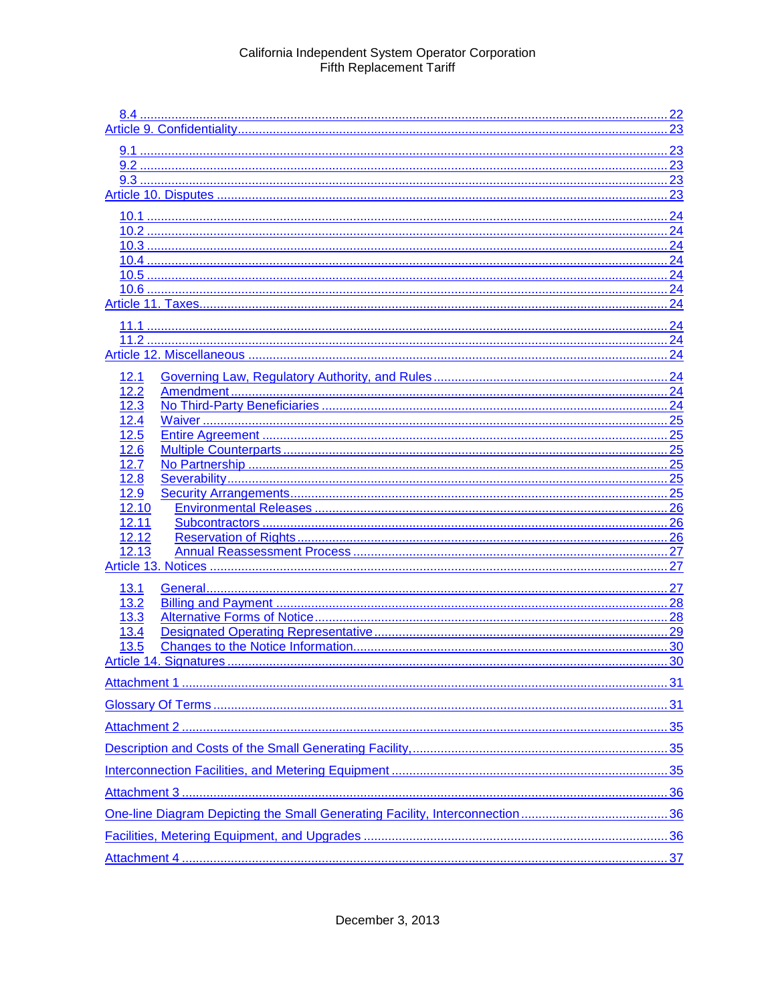|              |    | .24 |
|--------------|----|-----|
|              |    |     |
|              |    |     |
|              | 24 |     |
|              |    |     |
|              |    |     |
|              |    | 24  |
|              |    |     |
|              |    |     |
|              |    |     |
| 12.1         |    |     |
| 12.2         |    |     |
| 12.3         |    |     |
| 12.4         |    |     |
| 12.5         |    |     |
| 12.6         |    |     |
| 12.7         |    |     |
| 12.8<br>12.9 |    |     |
| 12.10        |    |     |
| 12.11        |    |     |
| 12.12        |    |     |
| 12.13        |    |     |
|              |    |     |
| 13.1         |    |     |
| 13.2         |    |     |
| <u>13.3</u>  |    |     |
| 13.4         |    |     |
| 13.5         |    |     |
|              |    |     |
|              |    |     |
|              |    |     |
|              |    |     |
|              |    |     |
|              |    |     |
|              |    |     |
|              |    |     |
|              |    |     |
|              |    |     |
|              |    |     |
|              |    |     |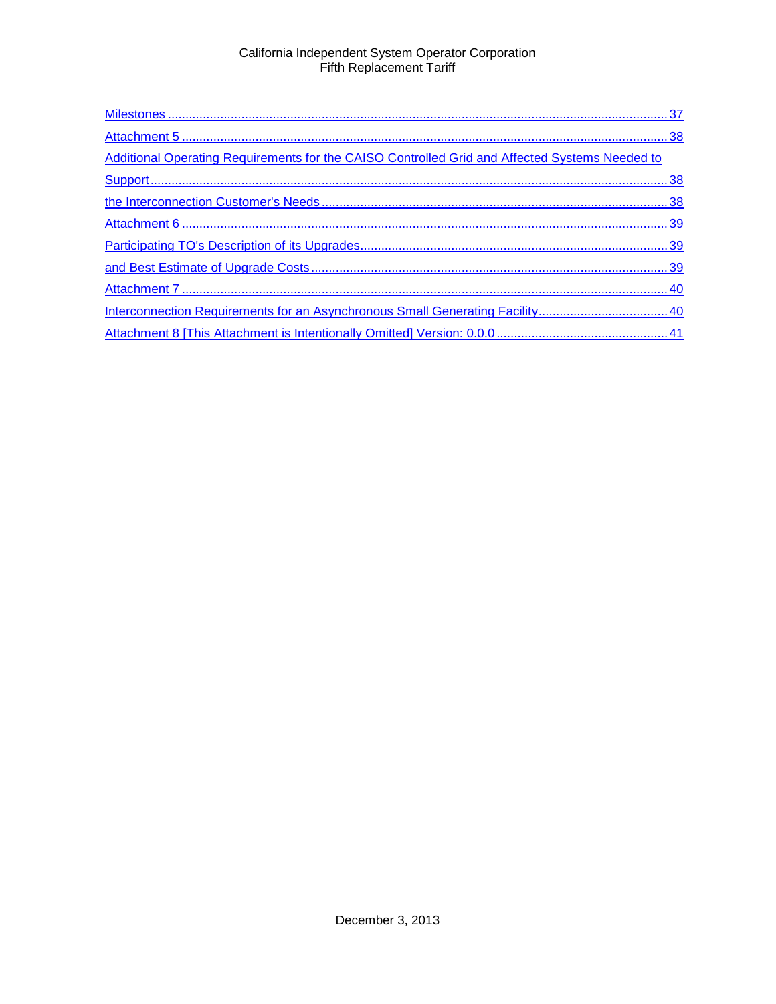| Additional Operating Requirements for the CAISO Controlled Grid and Affected Systems Needed to |  |
|------------------------------------------------------------------------------------------------|--|
|                                                                                                |  |
|                                                                                                |  |
|                                                                                                |  |
|                                                                                                |  |
|                                                                                                |  |
|                                                                                                |  |
|                                                                                                |  |
|                                                                                                |  |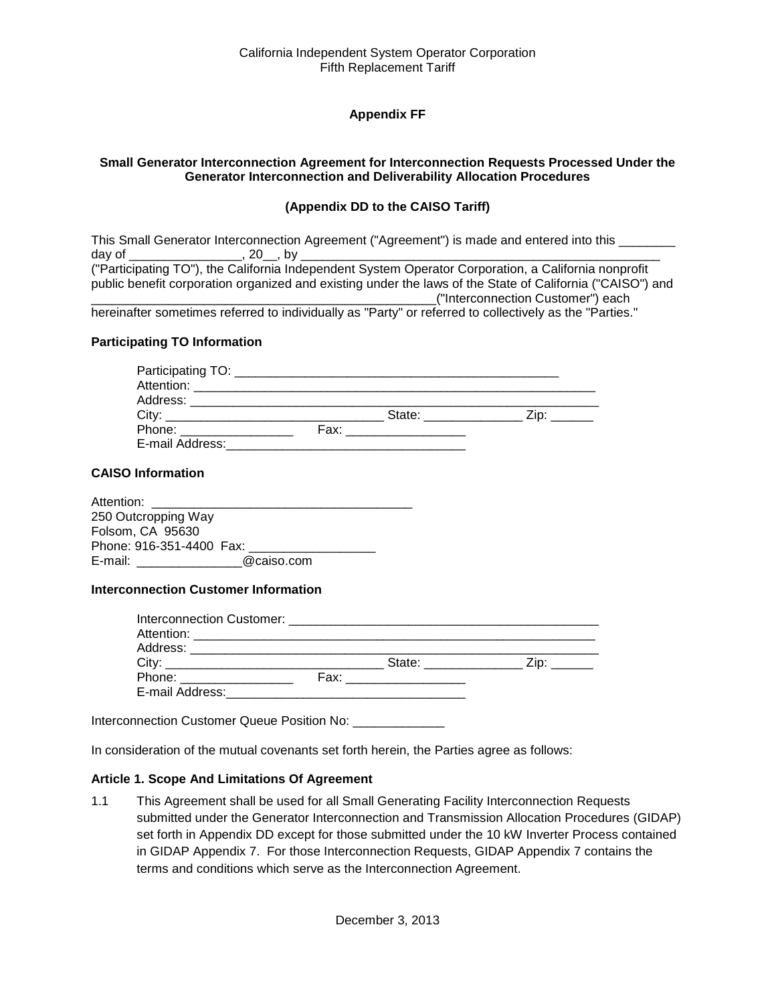# **Appendix FF**

#### <span id="page-3-2"></span><span id="page-3-1"></span><span id="page-3-0"></span>**Small Generator Interconnection Agreement for Interconnection Requests Processed Under the Generator Interconnection and Deliverability Allocation Procedures**

#### **(Appendix DD to the CAISO Tariff)**

|        |        | This Small Generator Interconnection Agreement ("Agreement") is made and entered into this                |
|--------|--------|-----------------------------------------------------------------------------------------------------------|
| dav of | .20.6v |                                                                                                           |
|        |        | ("Participating TO"), the California Independent System Operator Corporation, a California nonprofit      |
|        |        | public benefit corporation organized and existing under the laws of the State of California ("CAISO") and |
|        |        | ("Interconnection Customer") each                                                                         |
|        |        | borginattar comptimes referred to individually as "Darty" ar referred to collectively as the "Darties "   |

hereinafter sometimes referred to individually as "Party" or referred to collectively as the "Parties."

#### **Participating TO Information**

| City: 2008 2014 2015 2016 2017 2020 2021 2022 2023 2024 2022 2023 2024 2022 2023 2024 2022 2023 2024 2025 2026 | State: with the state of the state of the state of the state of the state of the state of the state of the state of the state of the state of the state of the state of the state of the state of the state of the state of th |  |
|----------------------------------------------------------------------------------------------------------------|--------------------------------------------------------------------------------------------------------------------------------------------------------------------------------------------------------------------------------|--|
| Phone: ________________                                                                                        | Fax: _________________                                                                                                                                                                                                         |  |
| E-mail Address: _________                                                                                      |                                                                                                                                                                                                                                |  |

#### **CAISO Information**

| Attention:               |            |  |
|--------------------------|------------|--|
| 250 Outcropping Way      |            |  |
| Folsom, CA 95630         |            |  |
| Phone: 916-351-4400 Fax: |            |  |
| E-mail:                  | @caiso.com |  |

#### **Interconnection Customer Information**

|                            | State: ____________                                                                                                                                                                                                           | Zip: |
|----------------------------|-------------------------------------------------------------------------------------------------------------------------------------------------------------------------------------------------------------------------------|------|
| Phone: ___________________ | Fax: __________________                                                                                                                                                                                                       |      |
| E-mail Address:            | the control of the control of the control of the control of the control of the control of the control of the control of the control of the control of the control of the control of the control of the control of the control |      |

Interconnection Customer Queue Position No: \_\_\_\_\_\_\_\_\_\_\_\_\_\_\_

In consideration of the mutual covenants set forth herein, the Parties agree as follows:

#### <span id="page-3-3"></span>**Article 1. Scope And Limitations Of Agreement**

<span id="page-3-4"></span>1.1 This Agreement shall be used for all Small Generating Facility Interconnection Requests submitted under the Generator Interconnection and Transmission Allocation Procedures (GIDAP) set forth in Appendix DD except for those submitted under the 10 kW Inverter Process contained in GIDAP Appendix 7. For those Interconnection Requests, GIDAP Appendix 7 contains the terms and conditions which serve as the Interconnection Agreement.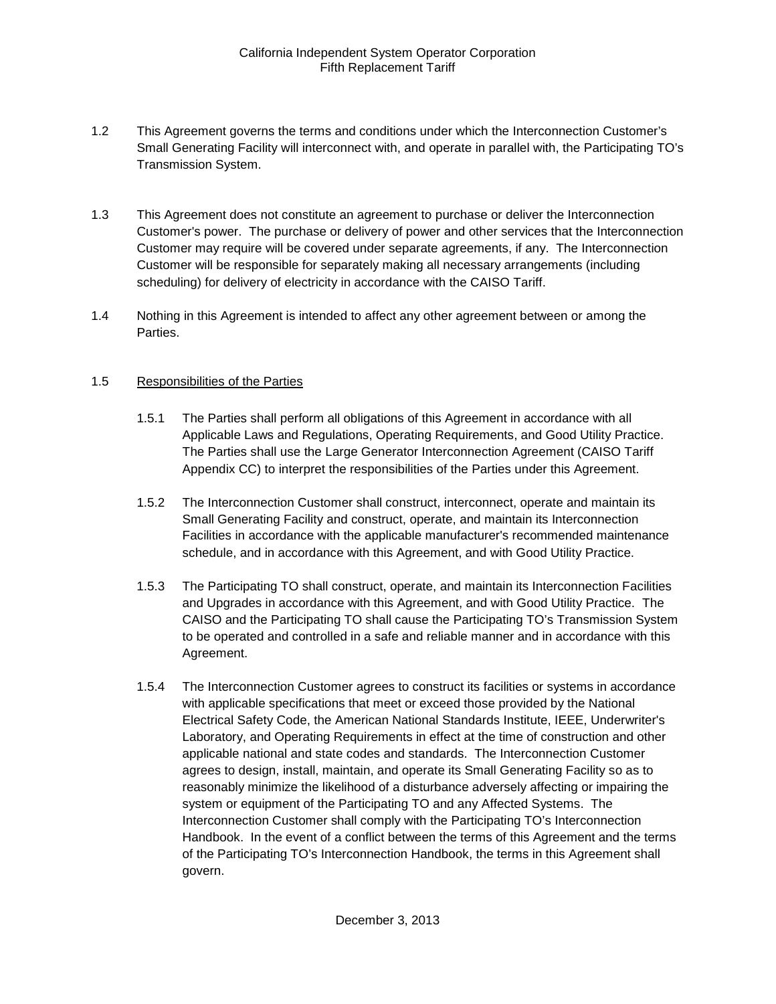- <span id="page-4-0"></span>1.2 This Agreement governs the terms and conditions under which the Interconnection Customer's Small Generating Facility will interconnect with, and operate in parallel with, the Participating TO's Transmission System.
- <span id="page-4-1"></span>1.3 This Agreement does not constitute an agreement to purchase or deliver the Interconnection Customer's power. The purchase or delivery of power and other services that the Interconnection Customer may require will be covered under separate agreements, if any. The Interconnection Customer will be responsible for separately making all necessary arrangements (including scheduling) for delivery of electricity in accordance with the CAISO Tariff.
- <span id="page-4-2"></span>1.4 Nothing in this Agreement is intended to affect any other agreement between or among the Parties.

#### <span id="page-4-3"></span>1.5 Responsibilities of the Parties

- 1.5.1 The Parties shall perform all obligations of this Agreement in accordance with all Applicable Laws and Regulations, Operating Requirements, and Good Utility Practice. The Parties shall use the Large Generator Interconnection Agreement (CAISO Tariff Appendix CC) to interpret the responsibilities of the Parties under this Agreement.
- 1.5.2 The Interconnection Customer shall construct, interconnect, operate and maintain its Small Generating Facility and construct, operate, and maintain its Interconnection Facilities in accordance with the applicable manufacturer's recommended maintenance schedule, and in accordance with this Agreement, and with Good Utility Practice.
- 1.5.3 The Participating TO shall construct, operate, and maintain its Interconnection Facilities and Upgrades in accordance with this Agreement, and with Good Utility Practice. The CAISO and the Participating TO shall cause the Participating TO's Transmission System to be operated and controlled in a safe and reliable manner and in accordance with this Agreement.
- 1.5.4 The Interconnection Customer agrees to construct its facilities or systems in accordance with applicable specifications that meet or exceed those provided by the National Electrical Safety Code, the American National Standards Institute, IEEE, Underwriter's Laboratory, and Operating Requirements in effect at the time of construction and other applicable national and state codes and standards. The Interconnection Customer agrees to design, install, maintain, and operate its Small Generating Facility so as to reasonably minimize the likelihood of a disturbance adversely affecting or impairing the system or equipment of the Participating TO and any Affected Systems. The Interconnection Customer shall comply with the Participating TO's Interconnection Handbook. In the event of a conflict between the terms of this Agreement and the terms of the Participating TO's Interconnection Handbook, the terms in this Agreement shall govern.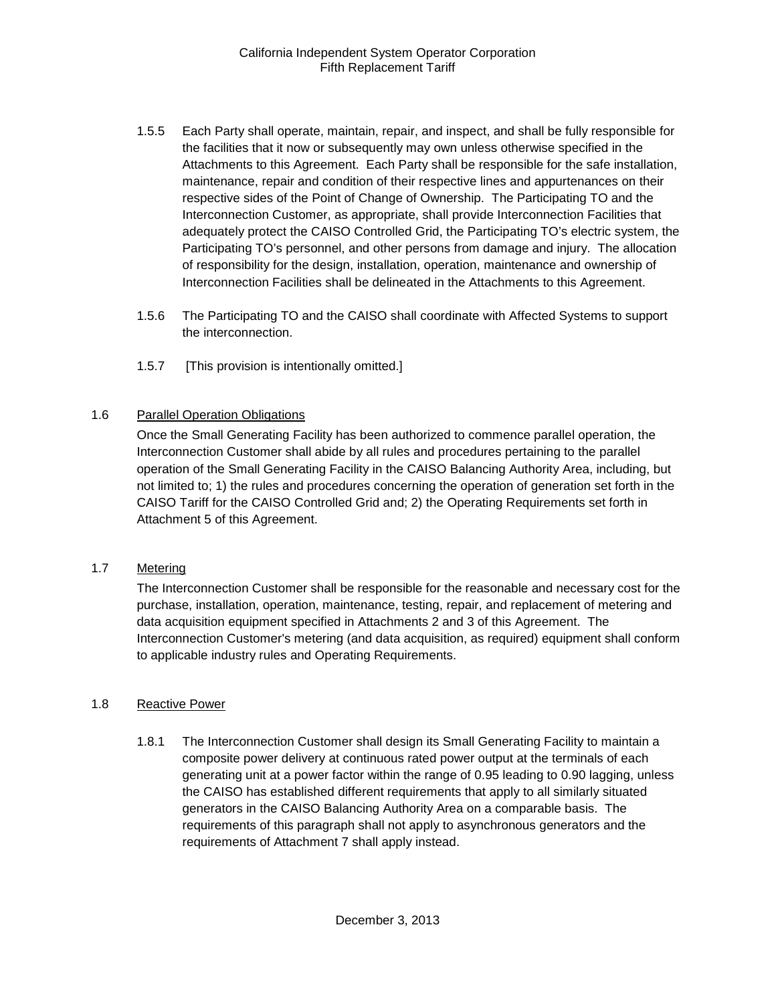- 1.5.5 Each Party shall operate, maintain, repair, and inspect, and shall be fully responsible for the facilities that it now or subsequently may own unless otherwise specified in the Attachments to this Agreement. Each Party shall be responsible for the safe installation, maintenance, repair and condition of their respective lines and appurtenances on their respective sides of the Point of Change of Ownership. The Participating TO and the Interconnection Customer, as appropriate, shall provide Interconnection Facilities that adequately protect the CAISO Controlled Grid, the Participating TO's electric system, the Participating TO's personnel, and other persons from damage and injury. The allocation of responsibility for the design, installation, operation, maintenance and ownership of Interconnection Facilities shall be delineated in the Attachments to this Agreement.
- 1.5.6 The Participating TO and the CAISO shall coordinate with Affected Systems to support the interconnection.
- 1.5.7 [This provision is intentionally omitted.]

#### <span id="page-5-0"></span>1.6 Parallel Operation Obligations

Once the Small Generating Facility has been authorized to commence parallel operation, the Interconnection Customer shall abide by all rules and procedures pertaining to the parallel operation of the Small Generating Facility in the CAISO Balancing Authority Area, including, but not limited to; 1) the rules and procedures concerning the operation of generation set forth in the CAISO Tariff for the CAISO Controlled Grid and; 2) the Operating Requirements set forth in Attachment 5 of this Agreement.

#### <span id="page-5-1"></span>1.7 Metering

The Interconnection Customer shall be responsible for the reasonable and necessary cost for the purchase, installation, operation, maintenance, testing, repair, and replacement of metering and data acquisition equipment specified in Attachments 2 and 3 of this Agreement. The Interconnection Customer's metering (and data acquisition, as required) equipment shall conform to applicable industry rules and Operating Requirements.

#### <span id="page-5-2"></span>1.8 Reactive Power

1.8.1 The Interconnection Customer shall design its Small Generating Facility to maintain a composite power delivery at continuous rated power output at the terminals of each generating unit at a power factor within the range of 0.95 leading to 0.90 lagging, unless the CAISO has established different requirements that apply to all similarly situated generators in the CAISO Balancing Authority Area on a comparable basis. The requirements of this paragraph shall not apply to asynchronous generators and the requirements of Attachment 7 shall apply instead.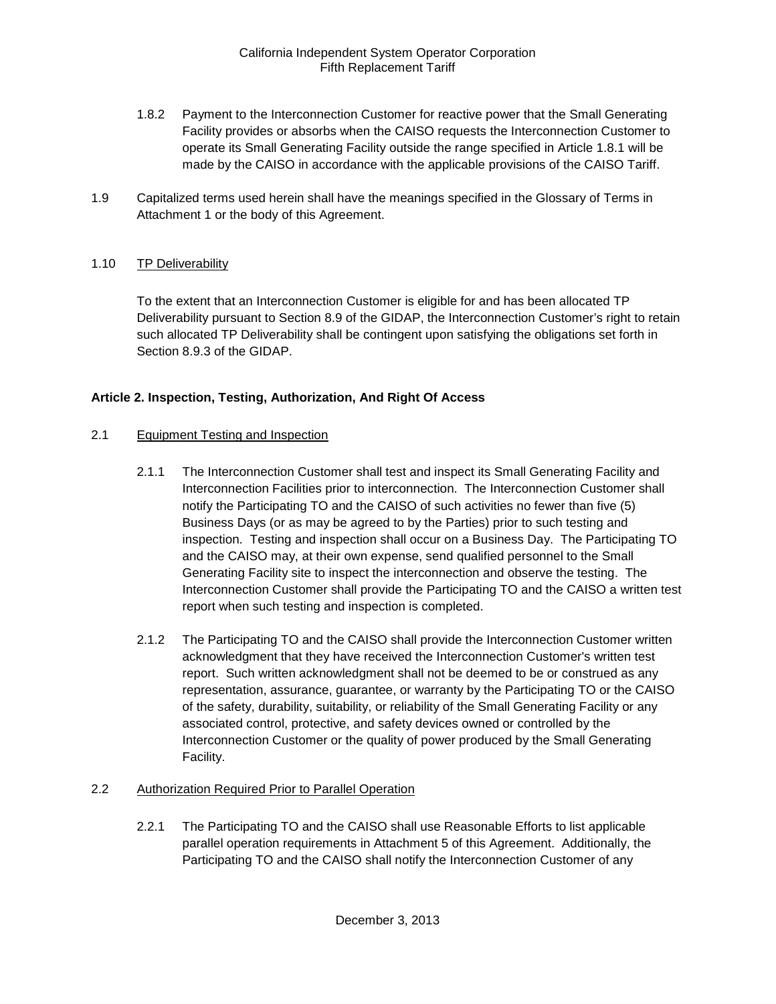- 1.8.2 Payment to the Interconnection Customer for reactive power that the Small Generating Facility provides or absorbs when the CAISO requests the Interconnection Customer to operate its Small Generating Facility outside the range specified in Article 1.8.1 will be made by the CAISO in accordance with the applicable provisions of the CAISO Tariff.
- <span id="page-6-0"></span>1.9 Capitalized terms used herein shall have the meanings specified in the Glossary of Terms in Attachment 1 or the body of this Agreement.

# <span id="page-6-1"></span>1.10 TP Deliverability

To the extent that an Interconnection Customer is eligible for and has been allocated TP Deliverability pursuant to Section 8.9 of the GIDAP, the Interconnection Customer's right to retain such allocated TP Deliverability shall be contingent upon satisfying the obligations set forth in Section 8.9.3 of the GIDAP.

# <span id="page-6-2"></span>**Article 2. Inspection, Testing, Authorization, And Right Of Access**

#### <span id="page-6-3"></span>2.1 Equipment Testing and Inspection

- 2.1.1 The Interconnection Customer shall test and inspect its Small Generating Facility and Interconnection Facilities prior to interconnection. The Interconnection Customer shall notify the Participating TO and the CAISO of such activities no fewer than five (5) Business Days (or as may be agreed to by the Parties) prior to such testing and inspection. Testing and inspection shall occur on a Business Day. The Participating TO and the CAISO may, at their own expense, send qualified personnel to the Small Generating Facility site to inspect the interconnection and observe the testing. The Interconnection Customer shall provide the Participating TO and the CAISO a written test report when such testing and inspection is completed.
- 2.1.2 The Participating TO and the CAISO shall provide the Interconnection Customer written acknowledgment that they have received the Interconnection Customer's written test report. Such written acknowledgment shall not be deemed to be or construed as any representation, assurance, guarantee, or warranty by the Participating TO or the CAISO of the safety, durability, suitability, or reliability of the Small Generating Facility or any associated control, protective, and safety devices owned or controlled by the Interconnection Customer or the quality of power produced by the Small Generating Facility.

#### <span id="page-6-4"></span>2.2 Authorization Required Prior to Parallel Operation

2.2.1 The Participating TO and the CAISO shall use Reasonable Efforts to list applicable parallel operation requirements in Attachment 5 of this Agreement. Additionally, the Participating TO and the CAISO shall notify the Interconnection Customer of any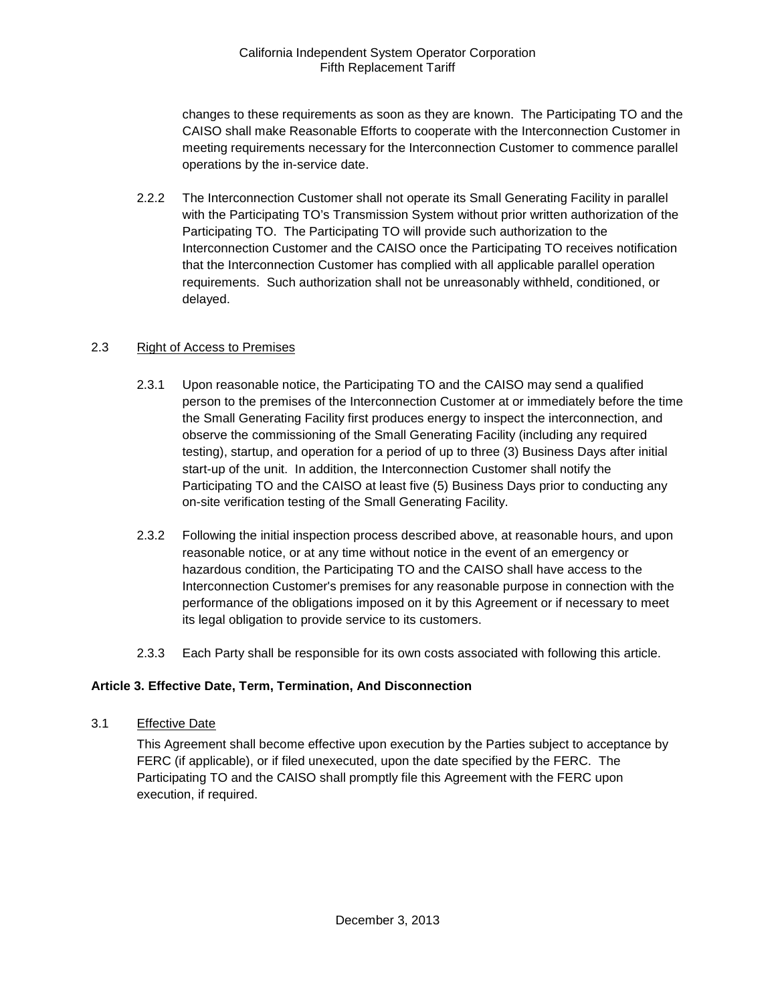changes to these requirements as soon as they are known. The Participating TO and the CAISO shall make Reasonable Efforts to cooperate with the Interconnection Customer in meeting requirements necessary for the Interconnection Customer to commence parallel operations by the in-service date.

2.2.2 The Interconnection Customer shall not operate its Small Generating Facility in parallel with the Participating TO's Transmission System without prior written authorization of the Participating TO. The Participating TO will provide such authorization to the Interconnection Customer and the CAISO once the Participating TO receives notification that the Interconnection Customer has complied with all applicable parallel operation requirements. Such authorization shall not be unreasonably withheld, conditioned, or delayed.

# <span id="page-7-0"></span>2.3 Right of Access to Premises

- 2.3.1 Upon reasonable notice, the Participating TO and the CAISO may send a qualified person to the premises of the Interconnection Customer at or immediately before the time the Small Generating Facility first produces energy to inspect the interconnection, and observe the commissioning of the Small Generating Facility (including any required testing), startup, and operation for a period of up to three (3) Business Days after initial start-up of the unit. In addition, the Interconnection Customer shall notify the Participating TO and the CAISO at least five (5) Business Days prior to conducting any on-site verification testing of the Small Generating Facility.
- 2.3.2 Following the initial inspection process described above, at reasonable hours, and upon reasonable notice, or at any time without notice in the event of an emergency or hazardous condition, the Participating TO and the CAISO shall have access to the Interconnection Customer's premises for any reasonable purpose in connection with the performance of the obligations imposed on it by this Agreement or if necessary to meet its legal obligation to provide service to its customers.
- 2.3.3 Each Party shall be responsible for its own costs associated with following this article.

# <span id="page-7-1"></span>**Article 3. Effective Date, Term, Termination, And Disconnection**

<span id="page-7-2"></span>3.1 Effective Date

This Agreement shall become effective upon execution by the Parties subject to acceptance by FERC (if applicable), or if filed unexecuted, upon the date specified by the FERC. The Participating TO and the CAISO shall promptly file this Agreement with the FERC upon execution, if required.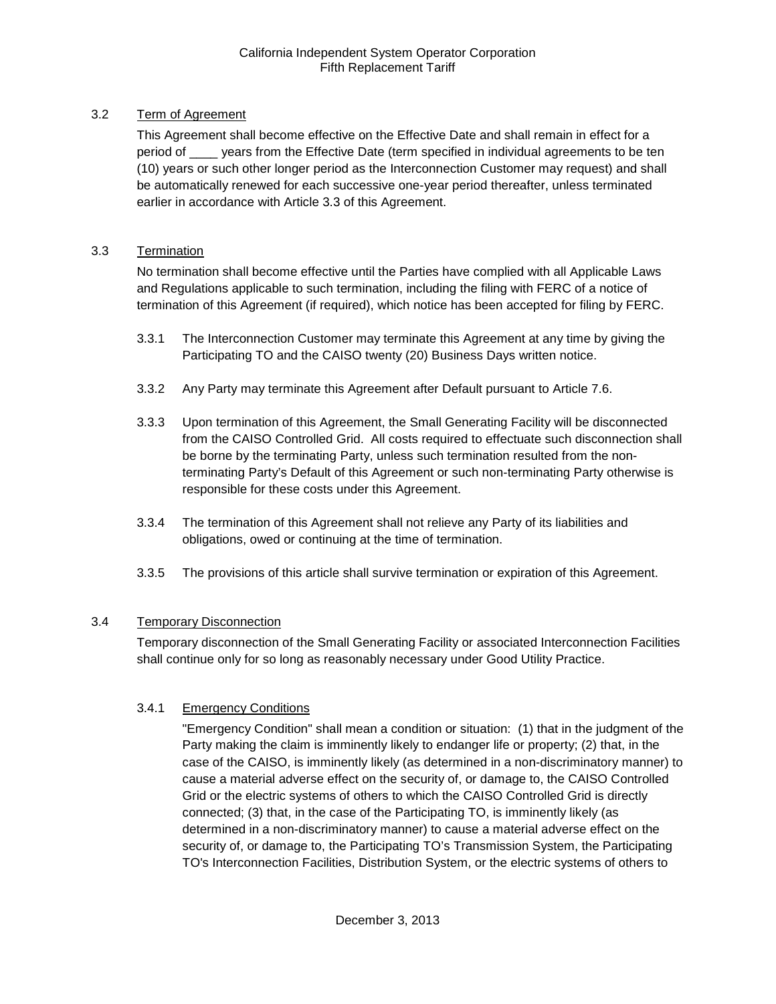# <span id="page-8-0"></span>3.2 Term of Agreement

This Agreement shall become effective on the Effective Date and shall remain in effect for a period of \_\_\_\_ years from the Effective Date (term specified in individual agreements to be ten (10) years or such other longer period as the Interconnection Customer may request) and shall be automatically renewed for each successive one-year period thereafter, unless terminated earlier in accordance with Article 3.3 of this Agreement.

#### <span id="page-8-1"></span>3.3 Termination

No termination shall become effective until the Parties have complied with all Applicable Laws and Regulations applicable to such termination, including the filing with FERC of a notice of termination of this Agreement (if required), which notice has been accepted for filing by FERC.

- 3.3.1 The Interconnection Customer may terminate this Agreement at any time by giving the Participating TO and the CAISO twenty (20) Business Days written notice.
- 3.3.2 Any Party may terminate this Agreement after Default pursuant to Article 7.6.
- 3.3.3 Upon termination of this Agreement, the Small Generating Facility will be disconnected from the CAISO Controlled Grid. All costs required to effectuate such disconnection shall be borne by the terminating Party, unless such termination resulted from the nonterminating Party's Default of this Agreement or such non-terminating Party otherwise is responsible for these costs under this Agreement.
- 3.3.4 The termination of this Agreement shall not relieve any Party of its liabilities and obligations, owed or continuing at the time of termination.
- 3.3.5 The provisions of this article shall survive termination or expiration of this Agreement.

# <span id="page-8-2"></span>3.4 Temporary Disconnection

Temporary disconnection of the Small Generating Facility or associated Interconnection Facilities shall continue only for so long as reasonably necessary under Good Utility Practice.

# 3.4.1 Emergency Conditions

"Emergency Condition" shall mean a condition or situation: (1) that in the judgment of the Party making the claim is imminently likely to endanger life or property; (2) that, in the case of the CAISO, is imminently likely (as determined in a non-discriminatory manner) to cause a material adverse effect on the security of, or damage to, the CAISO Controlled Grid or the electric systems of others to which the CAISO Controlled Grid is directly connected; (3) that, in the case of the Participating TO, is imminently likely (as determined in a non-discriminatory manner) to cause a material adverse effect on the security of, or damage to, the Participating TO's Transmission System, the Participating TO's Interconnection Facilities, Distribution System, or the electric systems of others to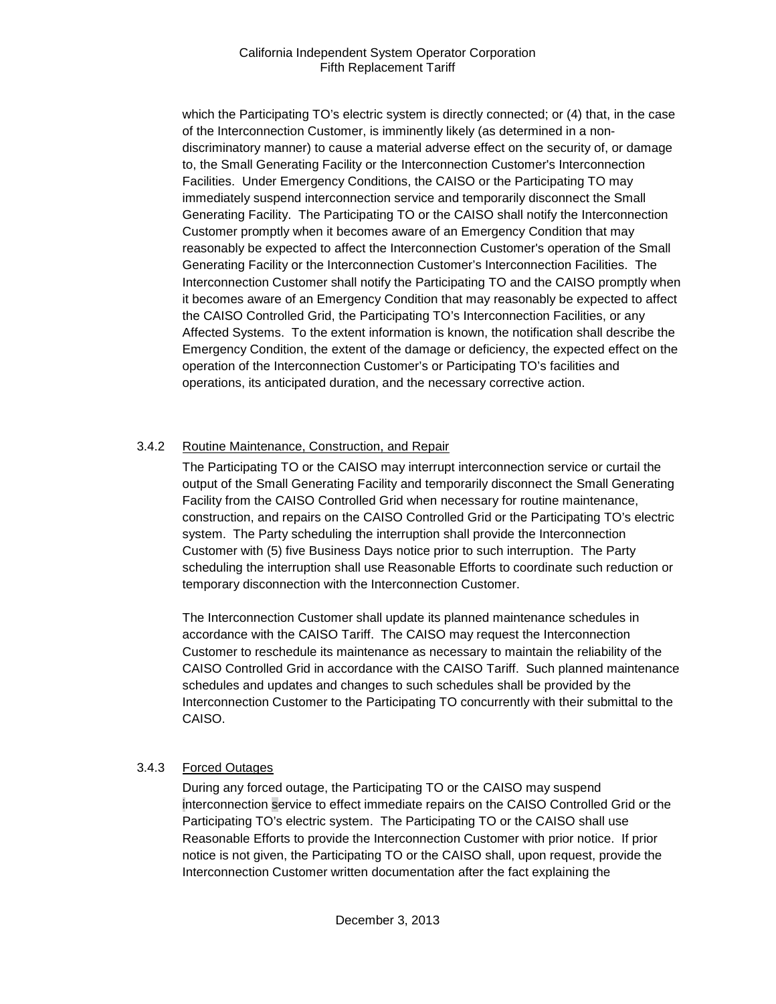which the Participating TO's electric system is directly connected; or (4) that, in the case of the Interconnection Customer, is imminently likely (as determined in a nondiscriminatory manner) to cause a material adverse effect on the security of, or damage to, the Small Generating Facility or the Interconnection Customer's Interconnection Facilities. Under Emergency Conditions, the CAISO or the Participating TO may immediately suspend interconnection service and temporarily disconnect the Small Generating Facility. The Participating TO or the CAISO shall notify the Interconnection Customer promptly when it becomes aware of an Emergency Condition that may reasonably be expected to affect the Interconnection Customer's operation of the Small Generating Facility or the Interconnection Customer's Interconnection Facilities. The Interconnection Customer shall notify the Participating TO and the CAISO promptly when it becomes aware of an Emergency Condition that may reasonably be expected to affect the CAISO Controlled Grid, the Participating TO's Interconnection Facilities, or any Affected Systems. To the extent information is known, the notification shall describe the Emergency Condition, the extent of the damage or deficiency, the expected effect on the operation of the Interconnection Customer's or Participating TO's facilities and operations, its anticipated duration, and the necessary corrective action.

# 3.4.2 Routine Maintenance, Construction, and Repair

The Participating TO or the CAISO may interrupt interconnection service or curtail the output of the Small Generating Facility and temporarily disconnect the Small Generating Facility from the CAISO Controlled Grid when necessary for routine maintenance, construction, and repairs on the CAISO Controlled Grid or the Participating TO's electric system. The Party scheduling the interruption shall provide the Interconnection Customer with (5) five Business Days notice prior to such interruption. The Party scheduling the interruption shall use Reasonable Efforts to coordinate such reduction or temporary disconnection with the Interconnection Customer.

The Interconnection Customer shall update its planned maintenance schedules in accordance with the CAISO Tariff. The CAISO may request the Interconnection Customer to reschedule its maintenance as necessary to maintain the reliability of the CAISO Controlled Grid in accordance with the CAISO Tariff. Such planned maintenance schedules and updates and changes to such schedules shall be provided by the Interconnection Customer to the Participating TO concurrently with their submittal to the CAISO.

# 3.4.3 Forced Outages

During any forced outage, the Participating TO or the CAISO may suspend interconnection service to effect immediate repairs on the CAISO Controlled Grid or the Participating TO's electric system. The Participating TO or the CAISO shall use Reasonable Efforts to provide the Interconnection Customer with prior notice. If prior notice is not given, the Participating TO or the CAISO shall, upon request, provide the Interconnection Customer written documentation after the fact explaining the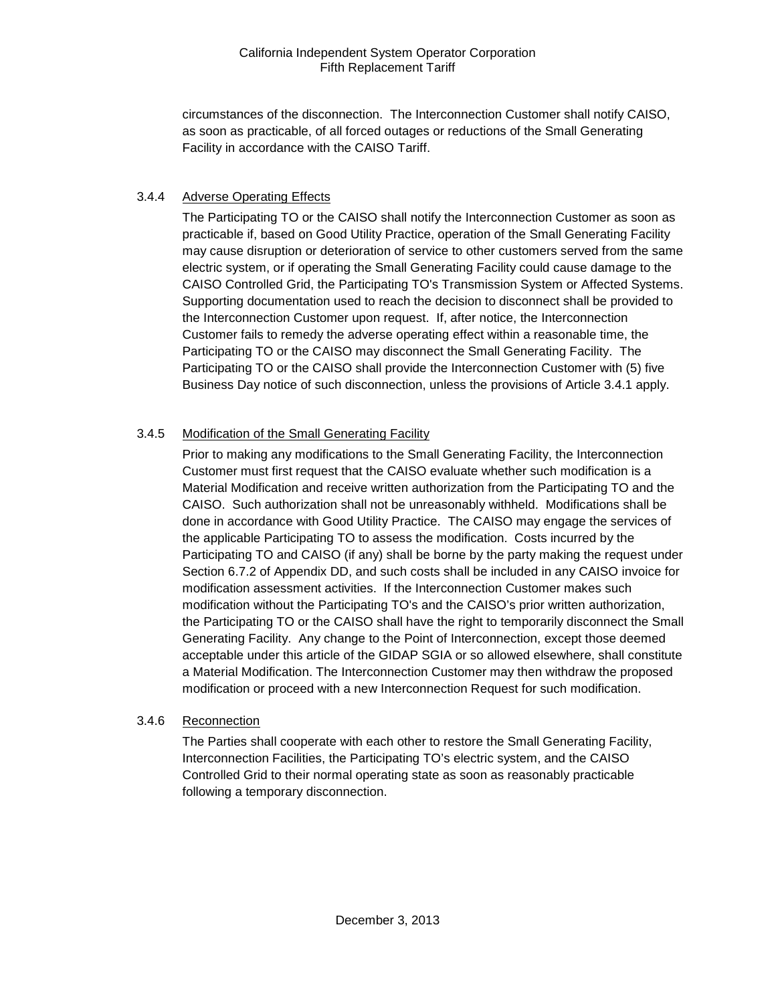circumstances of the disconnection. The Interconnection Customer shall notify CAISO, as soon as practicable, of all forced outages or reductions of the Small Generating Facility in accordance with the CAISO Tariff.

# 3.4.4 Adverse Operating Effects

The Participating TO or the CAISO shall notify the Interconnection Customer as soon as practicable if, based on Good Utility Practice, operation of the Small Generating Facility may cause disruption or deterioration of service to other customers served from the same electric system, or if operating the Small Generating Facility could cause damage to the CAISO Controlled Grid, the Participating TO's Transmission System or Affected Systems. Supporting documentation used to reach the decision to disconnect shall be provided to the Interconnection Customer upon request. If, after notice, the Interconnection Customer fails to remedy the adverse operating effect within a reasonable time, the Participating TO or the CAISO may disconnect the Small Generating Facility. The Participating TO or the CAISO shall provide the Interconnection Customer with (5) five Business Day notice of such disconnection, unless the provisions of Article 3.4.1 apply.

# 3.4.5 Modification of the Small Generating Facility

Prior to making any modifications to the Small Generating Facility, the Interconnection Customer must first request that the CAISO evaluate whether such modification is a Material Modification and receive written authorization from the Participating TO and the CAISO. Such authorization shall not be unreasonably withheld. Modifications shall be done in accordance with Good Utility Practice. The CAISO may engage the services of the applicable Participating TO to assess the modification. Costs incurred by the Participating TO and CAISO (if any) shall be borne by the party making the request under Section 6.7.2 of Appendix DD, and such costs shall be included in any CAISO invoice for modification assessment activities. If the Interconnection Customer makes such modification without the Participating TO's and the CAISO's prior written authorization, the Participating TO or the CAISO shall have the right to temporarily disconnect the Small Generating Facility. Any change to the Point of Interconnection, except those deemed acceptable under this article of the GIDAP SGIA or so allowed elsewhere, shall constitute a Material Modification. The Interconnection Customer may then withdraw the proposed modification or proceed with a new Interconnection Request for such modification.

#### 3.4.6 Reconnection

The Parties shall cooperate with each other to restore the Small Generating Facility, Interconnection Facilities, the Participating TO's electric system, and the CAISO Controlled Grid to their normal operating state as soon as reasonably practicable following a temporary disconnection.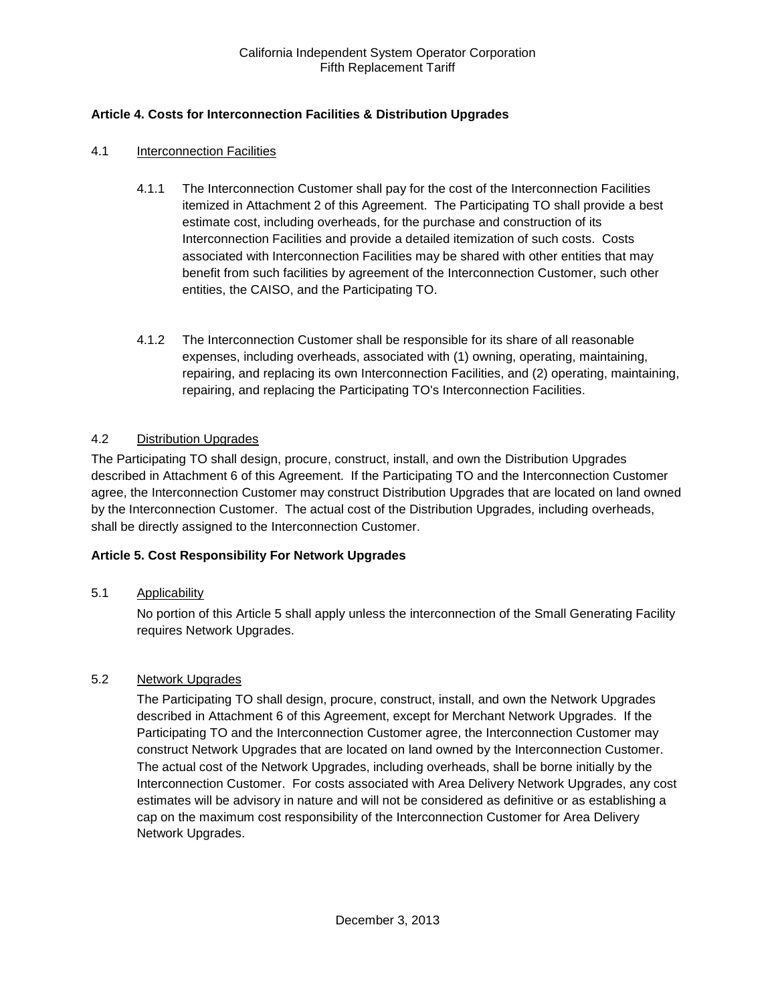# <span id="page-11-0"></span>**Article 4. Costs for Interconnection Facilities & Distribution Upgrades**

#### <span id="page-11-1"></span>4.1 Interconnection Facilities

- 4.1.1 The Interconnection Customer shall pay for the cost of the Interconnection Facilities itemized in Attachment 2 of this Agreement. The Participating TO shall provide a best estimate cost, including overheads, for the purchase and construction of its Interconnection Facilities and provide a detailed itemization of such costs. Costs associated with Interconnection Facilities may be shared with other entities that may benefit from such facilities by agreement of the Interconnection Customer, such other entities, the CAISO, and the Participating TO.
- 4.1.2 The Interconnection Customer shall be responsible for its share of all reasonable expenses, including overheads, associated with (1) owning, operating, maintaining, repairing, and replacing its own Interconnection Facilities, and (2) operating, maintaining, repairing, and replacing the Participating TO's Interconnection Facilities.

#### <span id="page-11-2"></span>4.2 Distribution Upgrades

The Participating TO shall design, procure, construct, install, and own the Distribution Upgrades described in Attachment 6 of this Agreement. If the Participating TO and the Interconnection Customer agree, the Interconnection Customer may construct Distribution Upgrades that are located on land owned by the Interconnection Customer. The actual cost of the Distribution Upgrades, including overheads, shall be directly assigned to the Interconnection Customer.

#### <span id="page-11-3"></span>**Article 5. Cost Responsibility For Network Upgrades**

#### <span id="page-11-4"></span>5.1 Applicability

No portion of this Article 5 shall apply unless the interconnection of the Small Generating Facility requires Network Upgrades.

#### <span id="page-11-5"></span>5.2 Network Upgrades

The Participating TO shall design, procure, construct, install, and own the Network Upgrades described in Attachment 6 of this Agreement, except for Merchant Network Upgrades. If the Participating TO and the Interconnection Customer agree, the Interconnection Customer may construct Network Upgrades that are located on land owned by the Interconnection Customer. The actual cost of the Network Upgrades, including overheads, shall be borne initially by the Interconnection Customer. For costs associated with Area Delivery Network Upgrades, any cost estimates will be advisory in nature and will not be considered as definitive or as establishing a cap on the maximum cost responsibility of the Interconnection Customer for Area Delivery Network Upgrades.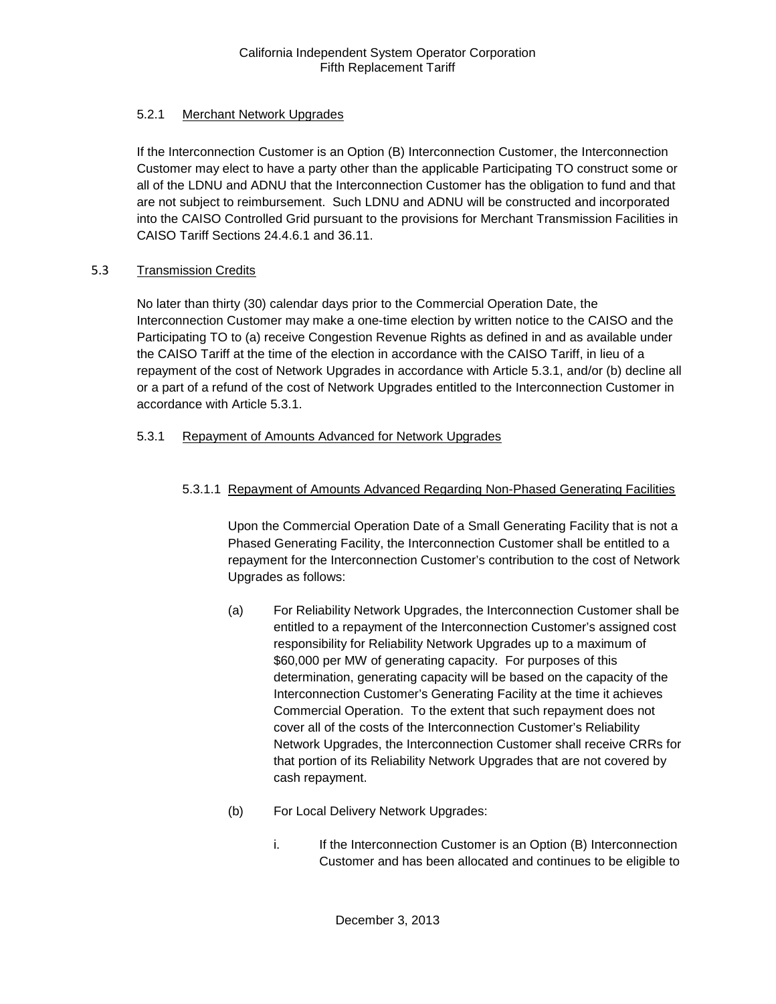# 5.2.1 Merchant Network Upgrades

If the Interconnection Customer is an Option (B) Interconnection Customer, the Interconnection Customer may elect to have a party other than the applicable Participating TO construct some or all of the LDNU and ADNU that the Interconnection Customer has the obligation to fund and that are not subject to reimbursement. Such LDNU and ADNU will be constructed and incorporated into the CAISO Controlled Grid pursuant to the provisions for Merchant Transmission Facilities in CAISO Tariff Sections 24.4.6.1 and 36.11.

# <span id="page-12-0"></span>5.3 Transmission Credits

No later than thirty (30) calendar days prior to the Commercial Operation Date, the Interconnection Customer may make a one-time election by written notice to the CAISO and the Participating TO to (a) receive Congestion Revenue Rights as defined in and as available under the CAISO Tariff at the time of the election in accordance with the CAISO Tariff, in lieu of a repayment of the cost of Network Upgrades in accordance with Article 5.3.1, and/or (b) decline all or a part of a refund of the cost of Network Upgrades entitled to the Interconnection Customer in accordance with Article 5.3.1.

# 5.3.1 Repayment of Amounts Advanced for Network Upgrades

# 5.3.1.1 Repayment of Amounts Advanced Regarding Non-Phased Generating Facilities

Upon the Commercial Operation Date of a Small Generating Facility that is not a Phased Generating Facility, the Interconnection Customer shall be entitled to a repayment for the Interconnection Customer's contribution to the cost of Network Upgrades as follows:

- (a) For Reliability Network Upgrades, the Interconnection Customer shall be entitled to a repayment of the Interconnection Customer's assigned cost responsibility for Reliability Network Upgrades up to a maximum of \$60,000 per MW of generating capacity. For purposes of this determination, generating capacity will be based on the capacity of the Interconnection Customer's Generating Facility at the time it achieves Commercial Operation. To the extent that such repayment does not cover all of the costs of the Interconnection Customer's Reliability Network Upgrades, the Interconnection Customer shall receive CRRs for that portion of its Reliability Network Upgrades that are not covered by cash repayment.
- (b) For Local Delivery Network Upgrades:
	- i. If the Interconnection Customer is an Option (B) Interconnection Customer and has been allocated and continues to be eligible to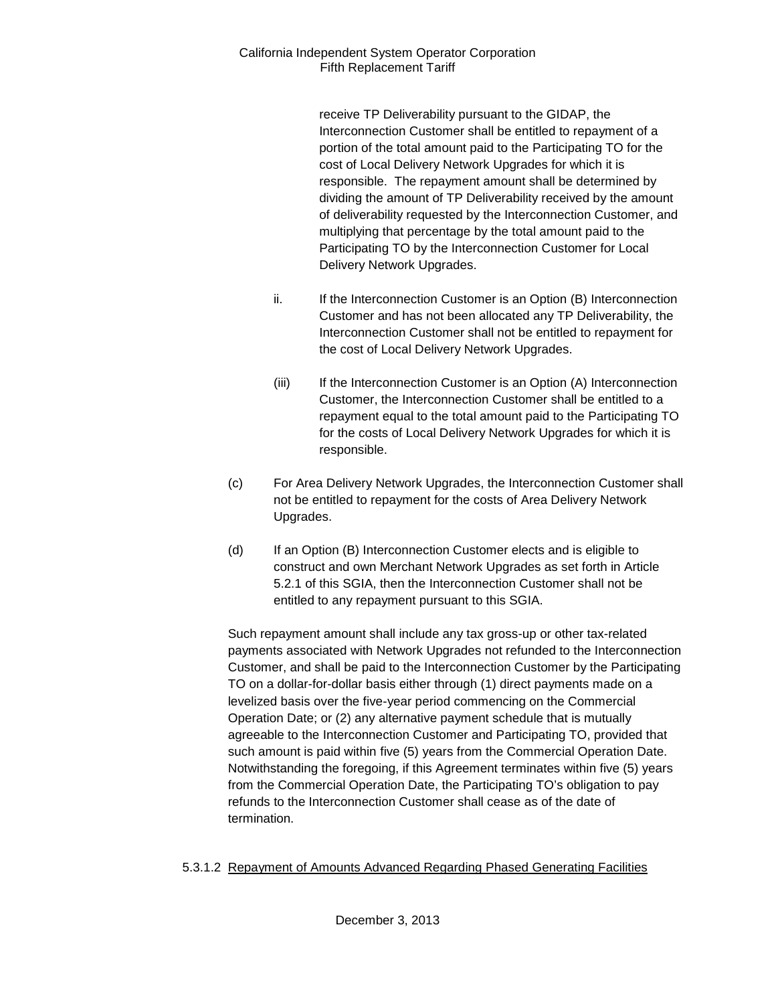receive TP Deliverability pursuant to the GIDAP, the Interconnection Customer shall be entitled to repayment of a portion of the total amount paid to the Participating TO for the cost of Local Delivery Network Upgrades for which it is responsible. The repayment amount shall be determined by dividing the amount of TP Deliverability received by the amount of deliverability requested by the Interconnection Customer, and multiplying that percentage by the total amount paid to the Participating TO by the Interconnection Customer for Local Delivery Network Upgrades.

- ii. If the Interconnection Customer is an Option (B) Interconnection Customer and has not been allocated any TP Deliverability, the Interconnection Customer shall not be entitled to repayment for the cost of Local Delivery Network Upgrades.
- (iii) If the Interconnection Customer is an Option (A) Interconnection Customer, the Interconnection Customer shall be entitled to a repayment equal to the total amount paid to the Participating TO for the costs of Local Delivery Network Upgrades for which it is responsible.
- (c) For Area Delivery Network Upgrades, the Interconnection Customer shall not be entitled to repayment for the costs of Area Delivery Network Upgrades.
- (d) If an Option (B) Interconnection Customer elects and is eligible to construct and own Merchant Network Upgrades as set forth in Article 5.2.1 of this SGIA, then the Interconnection Customer shall not be entitled to any repayment pursuant to this SGIA.

Such repayment amount shall include any tax gross-up or other tax-related payments associated with Network Upgrades not refunded to the Interconnection Customer, and shall be paid to the Interconnection Customer by the Participating TO on a dollar-for-dollar basis either through (1) direct payments made on a levelized basis over the five-year period commencing on the Commercial Operation Date; or (2) any alternative payment schedule that is mutually agreeable to the Interconnection Customer and Participating TO, provided that such amount is paid within five (5) years from the Commercial Operation Date. Notwithstanding the foregoing, if this Agreement terminates within five (5) years from the Commercial Operation Date, the Participating TO's obligation to pay refunds to the Interconnection Customer shall cease as of the date of termination.

# 5.3.1.2 Repayment of Amounts Advanced Regarding Phased Generating Facilities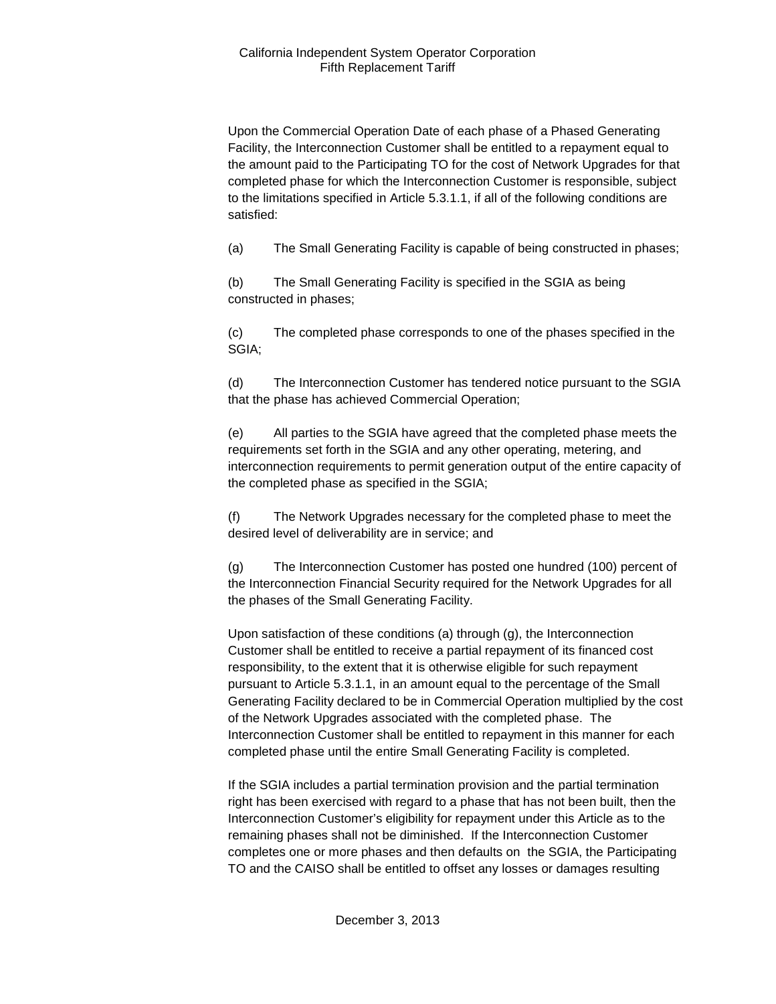Upon the Commercial Operation Date of each phase of a Phased Generating Facility, the Interconnection Customer shall be entitled to a repayment equal to the amount paid to the Participating TO for the cost of Network Upgrades for that completed phase for which the Interconnection Customer is responsible, subject to the limitations specified in Article 5.3.1.1, if all of the following conditions are satisfied:

(a) The Small Generating Facility is capable of being constructed in phases;

(b) The Small Generating Facility is specified in the SGIA as being constructed in phases;

(c) The completed phase corresponds to one of the phases specified in the SGIA;

(d) The Interconnection Customer has tendered notice pursuant to the SGIA that the phase has achieved Commercial Operation;

(e) All parties to the SGIA have agreed that the completed phase meets the requirements set forth in the SGIA and any other operating, metering, and interconnection requirements to permit generation output of the entire capacity of the completed phase as specified in the SGIA;

(f) The Network Upgrades necessary for the completed phase to meet the desired level of deliverability are in service; and

(g) The Interconnection Customer has posted one hundred (100) percent of the Interconnection Financial Security required for the Network Upgrades for all the phases of the Small Generating Facility.

Upon satisfaction of these conditions (a) through (g), the Interconnection Customer shall be entitled to receive a partial repayment of its financed cost responsibility, to the extent that it is otherwise eligible for such repayment pursuant to Article 5.3.1.1, in an amount equal to the percentage of the Small Generating Facility declared to be in Commercial Operation multiplied by the cost of the Network Upgrades associated with the completed phase. The Interconnection Customer shall be entitled to repayment in this manner for each completed phase until the entire Small Generating Facility is completed.

If the SGIA includes a partial termination provision and the partial termination right has been exercised with regard to a phase that has not been built, then the Interconnection Customer's eligibility for repayment under this Article as to the remaining phases shall not be diminished. If the Interconnection Customer completes one or more phases and then defaults on the SGIA, the Participating TO and the CAISO shall be entitled to offset any losses or damages resulting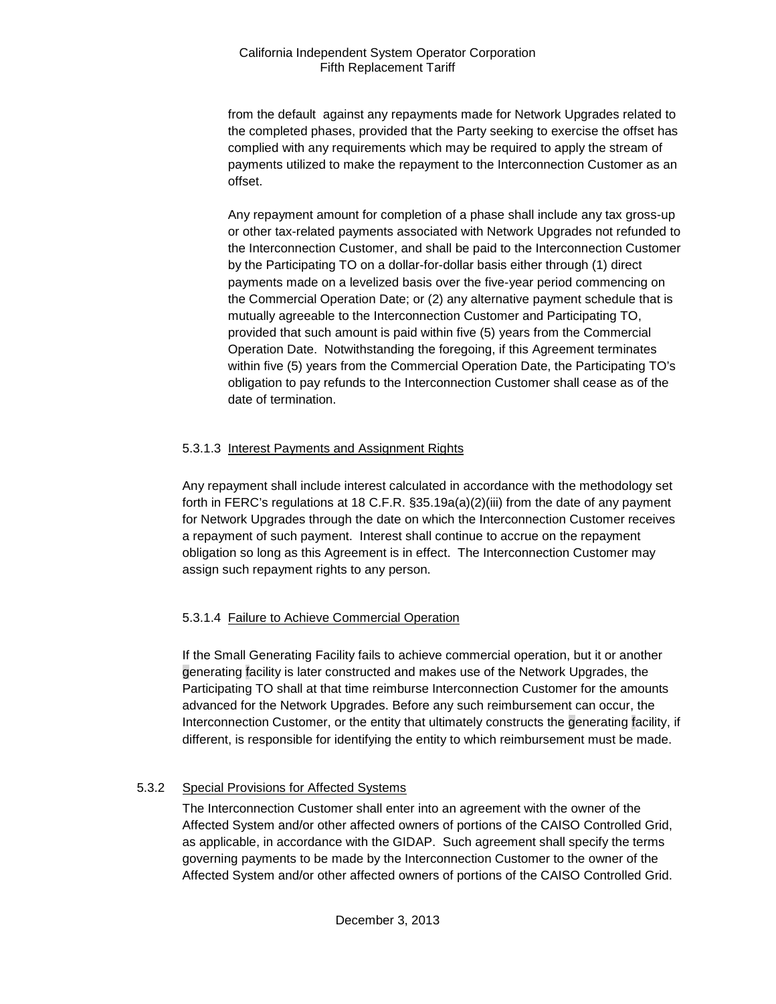from the default against any repayments made for Network Upgrades related to the completed phases, provided that the Party seeking to exercise the offset has complied with any requirements which may be required to apply the stream of payments utilized to make the repayment to the Interconnection Customer as an offset.

Any repayment amount for completion of a phase shall include any tax gross-up or other tax-related payments associated with Network Upgrades not refunded to the Interconnection Customer, and shall be paid to the Interconnection Customer by the Participating TO on a dollar-for-dollar basis either through (1) direct payments made on a levelized basis over the five-year period commencing on the Commercial Operation Date; or (2) any alternative payment schedule that is mutually agreeable to the Interconnection Customer and Participating TO, provided that such amount is paid within five (5) years from the Commercial Operation Date. Notwithstanding the foregoing, if this Agreement terminates within five (5) years from the Commercial Operation Date, the Participating TO's obligation to pay refunds to the Interconnection Customer shall cease as of the date of termination.

# 5.3.1.3 Interest Payments and Assignment Rights

Any repayment shall include interest calculated in accordance with the methodology set forth in FERC's regulations at 18 C.F.R. §35.19a(a)(2)(iii) from the date of any payment for Network Upgrades through the date on which the Interconnection Customer receives a repayment of such payment. Interest shall continue to accrue on the repayment obligation so long as this Agreement is in effect. The Interconnection Customer may assign such repayment rights to any person.

# 5.3.1.4 Failure to Achieve Commercial Operation

If the Small Generating Facility fails to achieve commercial operation, but it or another generating facility is later constructed and makes use of the Network Upgrades, the Participating TO shall at that time reimburse Interconnection Customer for the amounts advanced for the Network Upgrades. Before any such reimbursement can occur, the Interconnection Customer, or the entity that ultimately constructs the generating facility, if different, is responsible for identifying the entity to which reimbursement must be made.

# 5.3.2 Special Provisions for Affected Systems

The Interconnection Customer shall enter into an agreement with the owner of the Affected System and/or other affected owners of portions of the CAISO Controlled Grid, as applicable, in accordance with the GIDAP. Such agreement shall specify the terms governing payments to be made by the Interconnection Customer to the owner of the Affected System and/or other affected owners of portions of the CAISO Controlled Grid.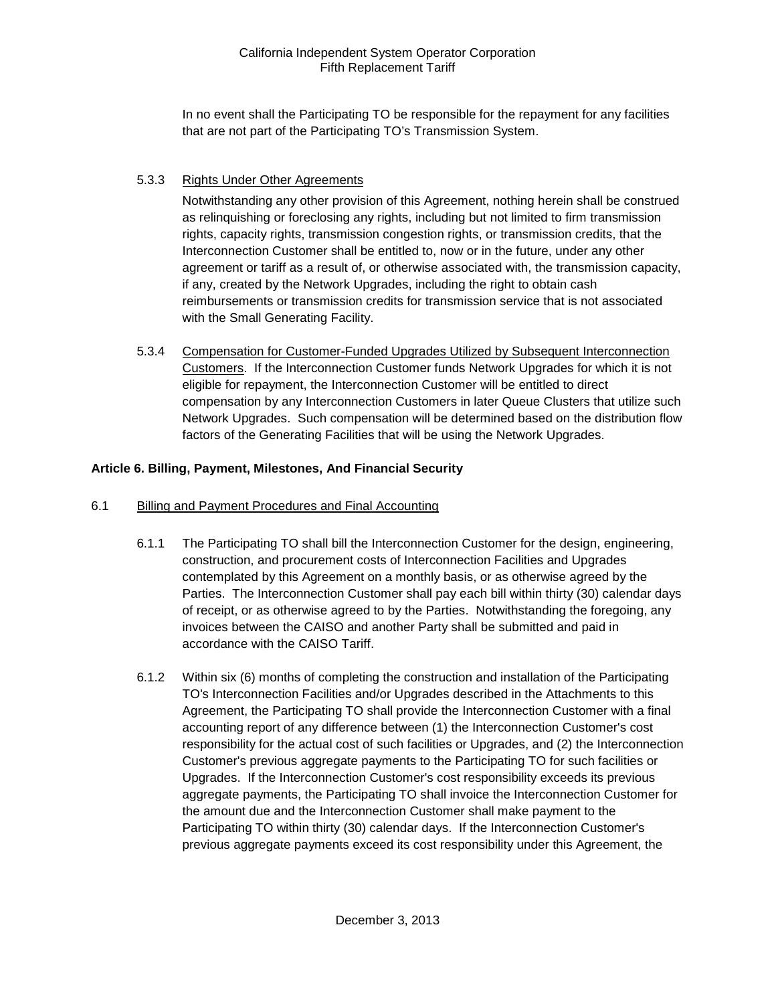In no event shall the Participating TO be responsible for the repayment for any facilities that are not part of the Participating TO's Transmission System.

# 5.3.3 Rights Under Other Agreements

Notwithstanding any other provision of this Agreement, nothing herein shall be construed as relinquishing or foreclosing any rights, including but not limited to firm transmission rights, capacity rights, transmission congestion rights, or transmission credits, that the Interconnection Customer shall be entitled to, now or in the future, under any other agreement or tariff as a result of, or otherwise associated with, the transmission capacity, if any, created by the Network Upgrades, including the right to obtain cash reimbursements or transmission credits for transmission service that is not associated with the Small Generating Facility.

5.3.4 Compensation for Customer-Funded Upgrades Utilized by Subsequent Interconnection Customers. If the Interconnection Customer funds Network Upgrades for which it is not eligible for repayment, the Interconnection Customer will be entitled to direct compensation by any Interconnection Customers in later Queue Clusters that utilize such Network Upgrades. Such compensation will be determined based on the distribution flow factors of the Generating Facilities that will be using the Network Upgrades.

# <span id="page-16-0"></span>**Article 6. Billing, Payment, Milestones, And Financial Security**

#### <span id="page-16-1"></span>6.1 Billing and Payment Procedures and Final Accounting

- 6.1.1 The Participating TO shall bill the Interconnection Customer for the design, engineering, construction, and procurement costs of Interconnection Facilities and Upgrades contemplated by this Agreement on a monthly basis, or as otherwise agreed by the Parties. The Interconnection Customer shall pay each bill within thirty (30) calendar days of receipt, or as otherwise agreed to by the Parties. Notwithstanding the foregoing, any invoices between the CAISO and another Party shall be submitted and paid in accordance with the CAISO Tariff.
- 6.1.2 Within six (6) months of completing the construction and installation of the Participating TO's Interconnection Facilities and/or Upgrades described in the Attachments to this Agreement, the Participating TO shall provide the Interconnection Customer with a final accounting report of any difference between (1) the Interconnection Customer's cost responsibility for the actual cost of such facilities or Upgrades, and (2) the Interconnection Customer's previous aggregate payments to the Participating TO for such facilities or Upgrades. If the Interconnection Customer's cost responsibility exceeds its previous aggregate payments, the Participating TO shall invoice the Interconnection Customer for the amount due and the Interconnection Customer shall make payment to the Participating TO within thirty (30) calendar days. If the Interconnection Customer's previous aggregate payments exceed its cost responsibility under this Agreement, the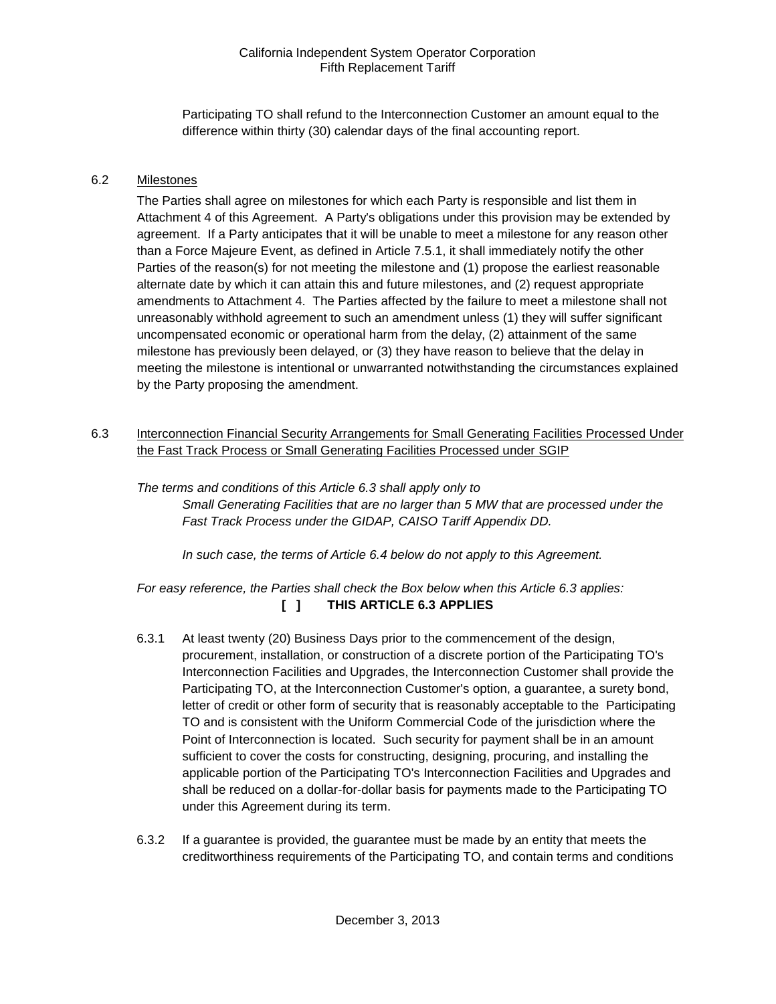Participating TO shall refund to the Interconnection Customer an amount equal to the difference within thirty (30) calendar days of the final accounting report.

#### <span id="page-17-0"></span>6.2 Milestones

The Parties shall agree on milestones for which each Party is responsible and list them in Attachment 4 of this Agreement. A Party's obligations under this provision may be extended by agreement. If a Party anticipates that it will be unable to meet a milestone for any reason other than a Force Majeure Event, as defined in Article 7.5.1, it shall immediately notify the other Parties of the reason(s) for not meeting the milestone and (1) propose the earliest reasonable alternate date by which it can attain this and future milestones, and (2) request appropriate amendments to Attachment 4. The Parties affected by the failure to meet a milestone shall not unreasonably withhold agreement to such an amendment unless (1) they will suffer significant uncompensated economic or operational harm from the delay, (2) attainment of the same milestone has previously been delayed, or (3) they have reason to believe that the delay in meeting the milestone is intentional or unwarranted notwithstanding the circumstances explained by the Party proposing the amendment.

<span id="page-17-1"></span>6.3 Interconnection Financial Security Arrangements for Small Generating Facilities Processed Under the Fast Track Process or Small Generating Facilities Processed under SGIP

*The terms and conditions of this Article 6.3 shall apply only to Small Generating Facilities that are no larger than 5 MW that are processed under the Fast Track Process under the GIDAP, CAISO Tariff Appendix DD.*

*In such case, the terms of Article 6.4 below do not apply to this Agreement.*

*For easy reference, the Parties shall check the Box below when this Article 6.3 applies:*  **[ ] THIS ARTICLE 6.3 APPLIES**

- 6.3.1 At least twenty (20) Business Days prior to the commencement of the design, procurement, installation, or construction of a discrete portion of the Participating TO's Interconnection Facilities and Upgrades, the Interconnection Customer shall provide the Participating TO, at the Interconnection Customer's option, a guarantee, a surety bond, letter of credit or other form of security that is reasonably acceptable to the Participating TO and is consistent with the Uniform Commercial Code of the jurisdiction where the Point of Interconnection is located. Such security for payment shall be in an amount sufficient to cover the costs for constructing, designing, procuring, and installing the applicable portion of the Participating TO's Interconnection Facilities and Upgrades and shall be reduced on a dollar-for-dollar basis for payments made to the Participating TO under this Agreement during its term.
- 6.3.2 If a guarantee is provided, the guarantee must be made by an entity that meets the creditworthiness requirements of the Participating TO, and contain terms and conditions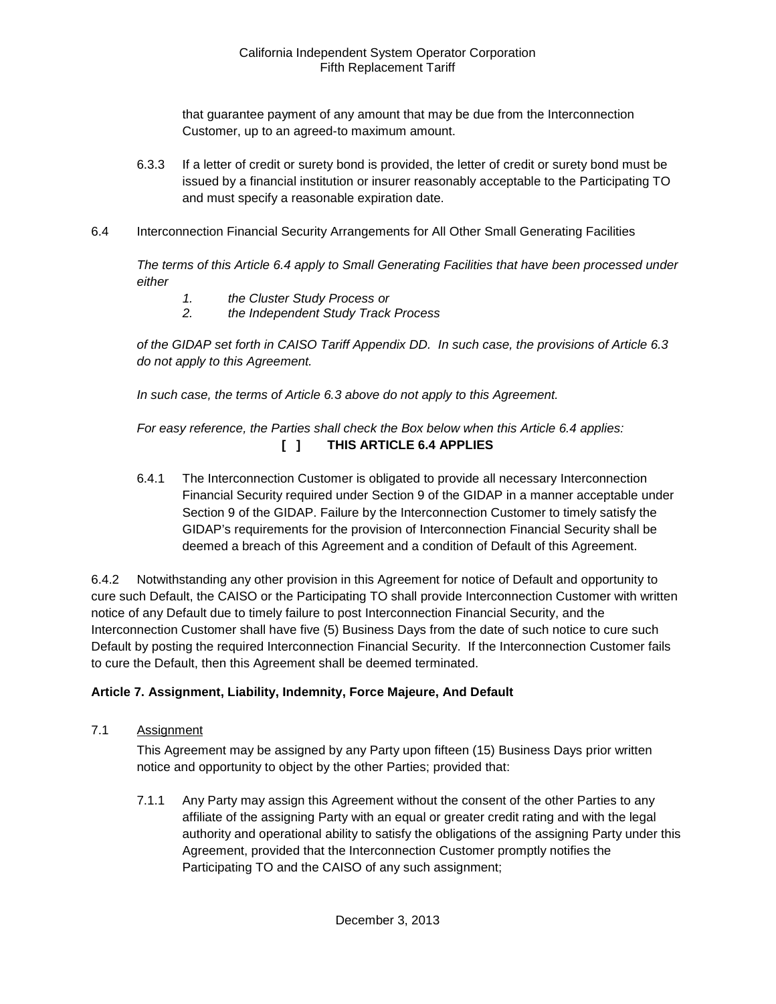that guarantee payment of any amount that may be due from the Interconnection Customer, up to an agreed-to maximum amount.

- 6.3.3 If a letter of credit or surety bond is provided, the letter of credit or surety bond must be issued by a financial institution or insurer reasonably acceptable to the Participating TO and must specify a reasonable expiration date.
- <span id="page-18-0"></span>6.4 Interconnection Financial Security Arrangements for All Other Small Generating Facilities

*The terms of this Article 6.4 apply to Small Generating Facilities that have been processed under either* 

- *1. the Cluster Study Process or*
- *2. the Independent Study Track Process*

*of the GIDAP set forth in CAISO Tariff Appendix DD. In such case, the provisions of Article 6.3 do not apply to this Agreement.*

*In such case, the terms of Article 6.3 above do not apply to this Agreement.* 

# *For easy reference, the Parties shall check the Box below when this Article 6.4 applies:*  **[ ] THIS ARTICLE 6.4 APPLIES**

6.4.1 The Interconnection Customer is obligated to provide all necessary Interconnection Financial Security required under Section 9 of the GIDAP in a manner acceptable under Section 9 of the GIDAP. Failure by the Interconnection Customer to timely satisfy the GIDAP's requirements for the provision of Interconnection Financial Security shall be deemed a breach of this Agreement and a condition of Default of this Agreement.

6.4.2 Notwithstanding any other provision in this Agreement for notice of Default and opportunity to cure such Default, the CAISO or the Participating TO shall provide Interconnection Customer with written notice of any Default due to timely failure to post Interconnection Financial Security, and the Interconnection Customer shall have five (5) Business Days from the date of such notice to cure such Default by posting the required Interconnection Financial Security. If the Interconnection Customer fails to cure the Default, then this Agreement shall be deemed terminated.

#### <span id="page-18-1"></span>**Article 7. Assignment, Liability, Indemnity, Force Majeure, And Default**

<span id="page-18-2"></span>7.1 Assignment

This Agreement may be assigned by any Party upon fifteen (15) Business Days prior written notice and opportunity to object by the other Parties; provided that:

7.1.1 Any Party may assign this Agreement without the consent of the other Parties to any affiliate of the assigning Party with an equal or greater credit rating and with the legal authority and operational ability to satisfy the obligations of the assigning Party under this Agreement, provided that the Interconnection Customer promptly notifies the Participating TO and the CAISO of any such assignment;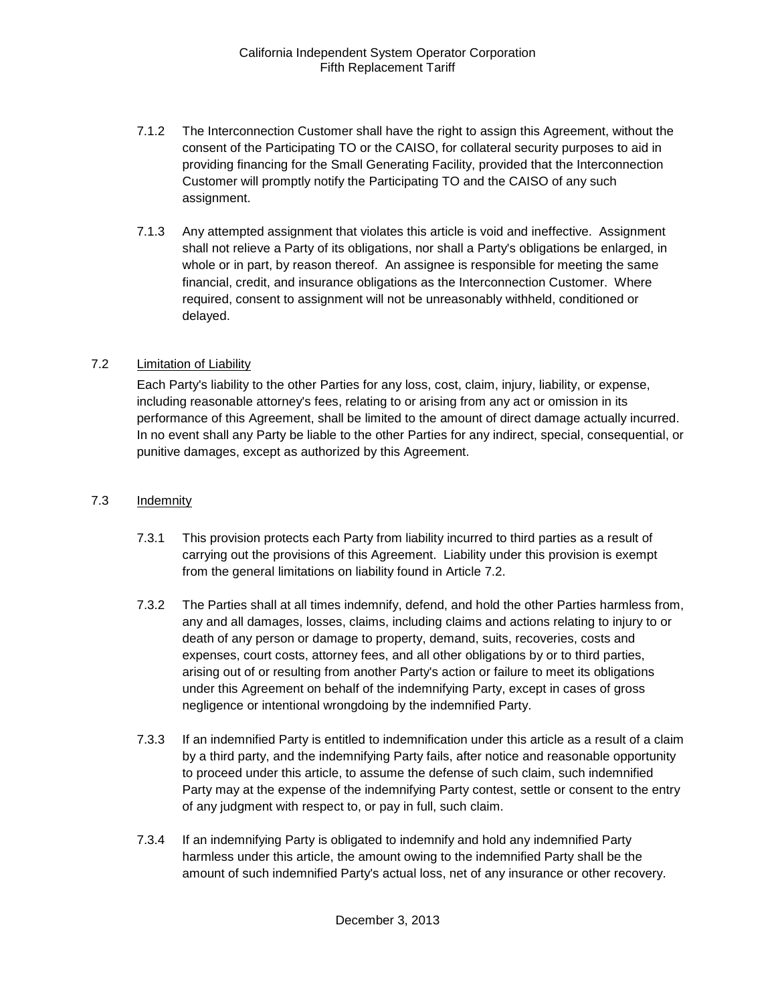- 7.1.2 The Interconnection Customer shall have the right to assign this Agreement, without the consent of the Participating TO or the CAISO, for collateral security purposes to aid in providing financing for the Small Generating Facility, provided that the Interconnection Customer will promptly notify the Participating TO and the CAISO of any such assignment.
- 7.1.3 Any attempted assignment that violates this article is void and ineffective. Assignment shall not relieve a Party of its obligations, nor shall a Party's obligations be enlarged, in whole or in part, by reason thereof. An assignee is responsible for meeting the same financial, credit, and insurance obligations as the Interconnection Customer. Where required, consent to assignment will not be unreasonably withheld, conditioned or delayed.

# <span id="page-19-0"></span>7.2 Limitation of Liability

Each Party's liability to the other Parties for any loss, cost, claim, injury, liability, or expense, including reasonable attorney's fees, relating to or arising from any act or omission in its performance of this Agreement, shall be limited to the amount of direct damage actually incurred. In no event shall any Party be liable to the other Parties for any indirect, special, consequential, or punitive damages, except as authorized by this Agreement.

#### <span id="page-19-1"></span>7.3 Indemnity

- 7.3.1 This provision protects each Party from liability incurred to third parties as a result of carrying out the provisions of this Agreement. Liability under this provision is exempt from the general limitations on liability found in Article 7.2.
- 7.3.2 The Parties shall at all times indemnify, defend, and hold the other Parties harmless from, any and all damages, losses, claims, including claims and actions relating to injury to or death of any person or damage to property, demand, suits, recoveries, costs and expenses, court costs, attorney fees, and all other obligations by or to third parties, arising out of or resulting from another Party's action or failure to meet its obligations under this Agreement on behalf of the indemnifying Party, except in cases of gross negligence or intentional wrongdoing by the indemnified Party.
- 7.3.3 If an indemnified Party is entitled to indemnification under this article as a result of a claim by a third party, and the indemnifying Party fails, after notice and reasonable opportunity to proceed under this article, to assume the defense of such claim, such indemnified Party may at the expense of the indemnifying Party contest, settle or consent to the entry of any judgment with respect to, or pay in full, such claim.
- 7.3.4 If an indemnifying Party is obligated to indemnify and hold any indemnified Party harmless under this article, the amount owing to the indemnified Party shall be the amount of such indemnified Party's actual loss, net of any insurance or other recovery.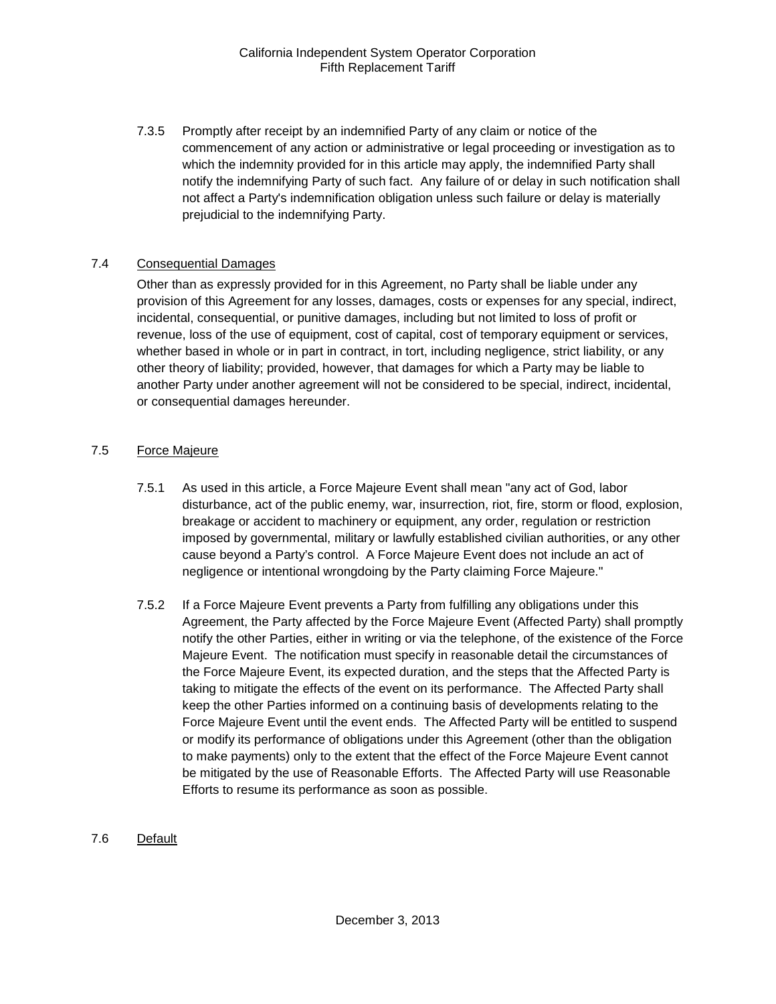7.3.5 Promptly after receipt by an indemnified Party of any claim or notice of the commencement of any action or administrative or legal proceeding or investigation as to which the indemnity provided for in this article may apply, the indemnified Party shall notify the indemnifying Party of such fact. Any failure of or delay in such notification shall not affect a Party's indemnification obligation unless such failure or delay is materially prejudicial to the indemnifying Party.

#### <span id="page-20-0"></span>7.4 Consequential Damages

Other than as expressly provided for in this Agreement, no Party shall be liable under any provision of this Agreement for any losses, damages, costs or expenses for any special, indirect, incidental, consequential, or punitive damages, including but not limited to loss of profit or revenue, loss of the use of equipment, cost of capital, cost of temporary equipment or services, whether based in whole or in part in contract, in tort, including negligence, strict liability, or any other theory of liability; provided, however, that damages for which a Party may be liable to another Party under another agreement will not be considered to be special, indirect, incidental, or consequential damages hereunder.

#### <span id="page-20-1"></span>7.5 Force Majeure

- 7.5.1 As used in this article, a Force Majeure Event shall mean "any act of God, labor disturbance, act of the public enemy, war, insurrection, riot, fire, storm or flood, explosion, breakage or accident to machinery or equipment, any order, regulation or restriction imposed by governmental, military or lawfully established civilian authorities, or any other cause beyond a Party's control. A Force Majeure Event does not include an act of negligence or intentional wrongdoing by the Party claiming Force Majeure."
- 7.5.2 If a Force Majeure Event prevents a Party from fulfilling any obligations under this Agreement, the Party affected by the Force Majeure Event (Affected Party) shall promptly notify the other Parties, either in writing or via the telephone, of the existence of the Force Majeure Event. The notification must specify in reasonable detail the circumstances of the Force Majeure Event, its expected duration, and the steps that the Affected Party is taking to mitigate the effects of the event on its performance. The Affected Party shall keep the other Parties informed on a continuing basis of developments relating to the Force Majeure Event until the event ends. The Affected Party will be entitled to suspend or modify its performance of obligations under this Agreement (other than the obligation to make payments) only to the extent that the effect of the Force Majeure Event cannot be mitigated by the use of Reasonable Efforts. The Affected Party will use Reasonable Efforts to resume its performance as soon as possible.

#### <span id="page-20-2"></span>7.6 Default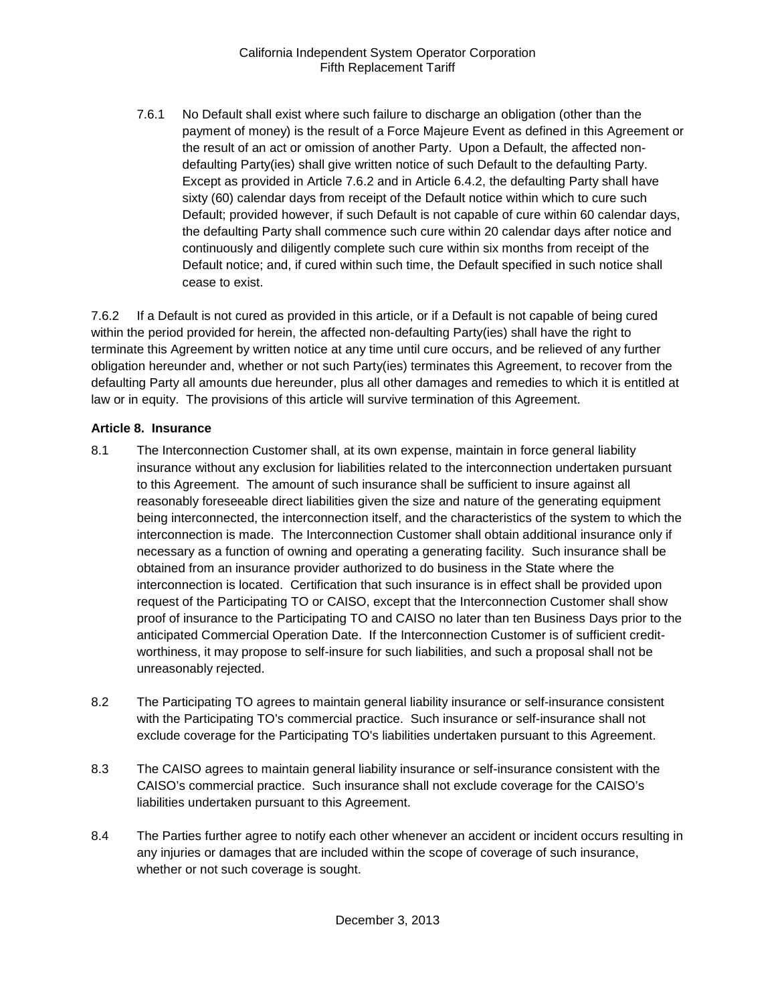7.6.1 No Default shall exist where such failure to discharge an obligation (other than the payment of money) is the result of a Force Majeure Event as defined in this Agreement or the result of an act or omission of another Party. Upon a Default, the affected nondefaulting Party(ies) shall give written notice of such Default to the defaulting Party. Except as provided in Article 7.6.2 and in Article 6.4.2, the defaulting Party shall have sixty (60) calendar days from receipt of the Default notice within which to cure such Default; provided however, if such Default is not capable of cure within 60 calendar days, the defaulting Party shall commence such cure within 20 calendar days after notice and continuously and diligently complete such cure within six months from receipt of the Default notice; and, if cured within such time, the Default specified in such notice shall cease to exist.

7.6.2 If a Default is not cured as provided in this article, or if a Default is not capable of being cured within the period provided for herein, the affected non-defaulting Party(ies) shall have the right to terminate this Agreement by written notice at any time until cure occurs, and be relieved of any further obligation hereunder and, whether or not such Party(ies) terminates this Agreement, to recover from the defaulting Party all amounts due hereunder, plus all other damages and remedies to which it is entitled at law or in equity. The provisions of this article will survive termination of this Agreement.

# <span id="page-21-0"></span>**Article 8. Insurance**

- <span id="page-21-1"></span>8.1 The Interconnection Customer shall, at its own expense, maintain in force general liability insurance without any exclusion for liabilities related to the interconnection undertaken pursuant to this Agreement. The amount of such insurance shall be sufficient to insure against all reasonably foreseeable direct liabilities given the size and nature of the generating equipment being interconnected, the interconnection itself, and the characteristics of the system to which the interconnection is made. The Interconnection Customer shall obtain additional insurance only if necessary as a function of owning and operating a generating facility. Such insurance shall be obtained from an insurance provider authorized to do business in the State where the interconnection is located. Certification that such insurance is in effect shall be provided upon request of the Participating TO or CAISO, except that the Interconnection Customer shall show proof of insurance to the Participating TO and CAISO no later than ten Business Days prior to the anticipated Commercial Operation Date. If the Interconnection Customer is of sufficient creditworthiness, it may propose to self-insure for such liabilities, and such a proposal shall not be unreasonably rejected.
- <span id="page-21-2"></span>8.2 The Participating TO agrees to maintain general liability insurance or self-insurance consistent with the Participating TO's commercial practice. Such insurance or self-insurance shall not exclude coverage for the Participating TO's liabilities undertaken pursuant to this Agreement.
- <span id="page-21-3"></span>8.3 The CAISO agrees to maintain general liability insurance or self-insurance consistent with the CAISO's commercial practice. Such insurance shall not exclude coverage for the CAISO's liabilities undertaken pursuant to this Agreement.
- <span id="page-21-4"></span>8.4 The Parties further agree to notify each other whenever an accident or incident occurs resulting in any injuries or damages that are included within the scope of coverage of such insurance, whether or not such coverage is sought.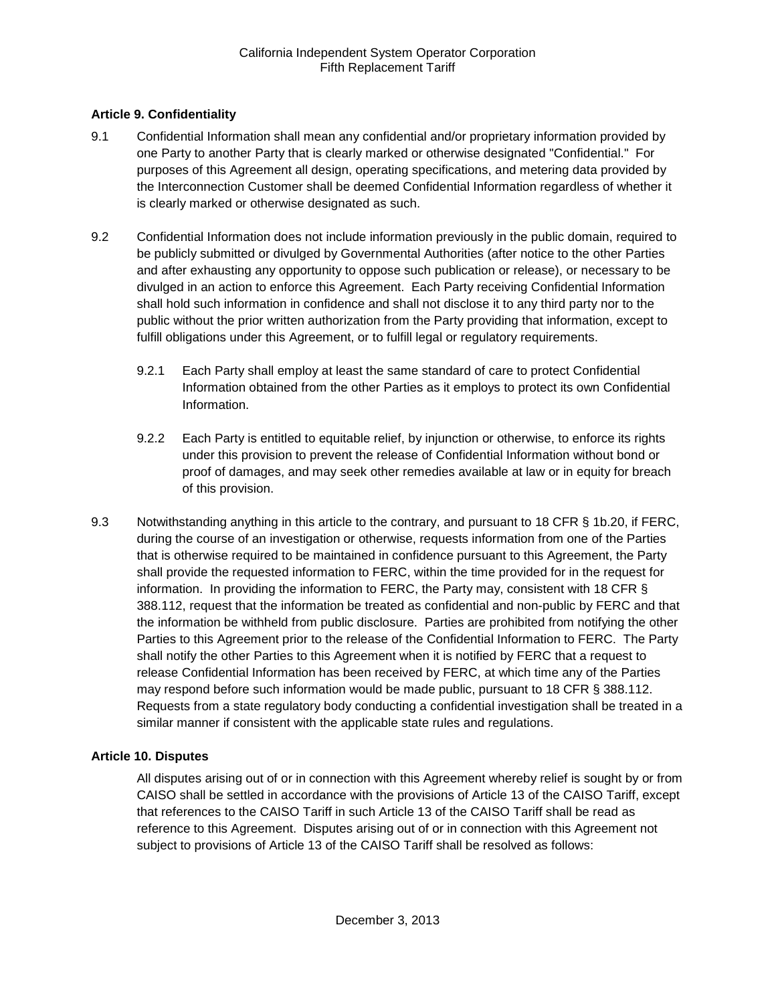# <span id="page-22-0"></span>**Article 9. Confidentiality**

- <span id="page-22-1"></span>9.1 Confidential Information shall mean any confidential and/or proprietary information provided by one Party to another Party that is clearly marked or otherwise designated "Confidential." For purposes of this Agreement all design, operating specifications, and metering data provided by the Interconnection Customer shall be deemed Confidential Information regardless of whether it is clearly marked or otherwise designated as such.
- <span id="page-22-2"></span>9.2 Confidential Information does not include information previously in the public domain, required to be publicly submitted or divulged by Governmental Authorities (after notice to the other Parties and after exhausting any opportunity to oppose such publication or release), or necessary to be divulged in an action to enforce this Agreement. Each Party receiving Confidential Information shall hold such information in confidence and shall not disclose it to any third party nor to the public without the prior written authorization from the Party providing that information, except to fulfill obligations under this Agreement, or to fulfill legal or regulatory requirements.
	- 9.2.1 Each Party shall employ at least the same standard of care to protect Confidential Information obtained from the other Parties as it employs to protect its own Confidential Information.
	- 9.2.2 Each Party is entitled to equitable relief, by injunction or otherwise, to enforce its rights under this provision to prevent the release of Confidential Information without bond or proof of damages, and may seek other remedies available at law or in equity for breach of this provision.
- <span id="page-22-3"></span>9.3 Notwithstanding anything in this article to the contrary, and pursuant to 18 CFR § 1b.20, if FERC, during the course of an investigation or otherwise, requests information from one of the Parties that is otherwise required to be maintained in confidence pursuant to this Agreement, the Party shall provide the requested information to FERC, within the time provided for in the request for information. In providing the information to FERC, the Party may, consistent with 18 CFR § 388.112, request that the information be treated as confidential and non-public by FERC and that the information be withheld from public disclosure. Parties are prohibited from notifying the other Parties to this Agreement prior to the release of the Confidential Information to FERC. The Party shall notify the other Parties to this Agreement when it is notified by FERC that a request to release Confidential Information has been received by FERC, at which time any of the Parties may respond before such information would be made public, pursuant to 18 CFR § 388.112. Requests from a state regulatory body conducting a confidential investigation shall be treated in a similar manner if consistent with the applicable state rules and regulations.

#### <span id="page-22-4"></span>**Article 10. Disputes**

All disputes arising out of or in connection with this Agreement whereby relief is sought by or from CAISO shall be settled in accordance with the provisions of Article 13 of the CAISO Tariff, except that references to the CAISO Tariff in such Article 13 of the CAISO Tariff shall be read as reference to this Agreement. Disputes arising out of or in connection with this Agreement not subject to provisions of Article 13 of the CAISO Tariff shall be resolved as follows: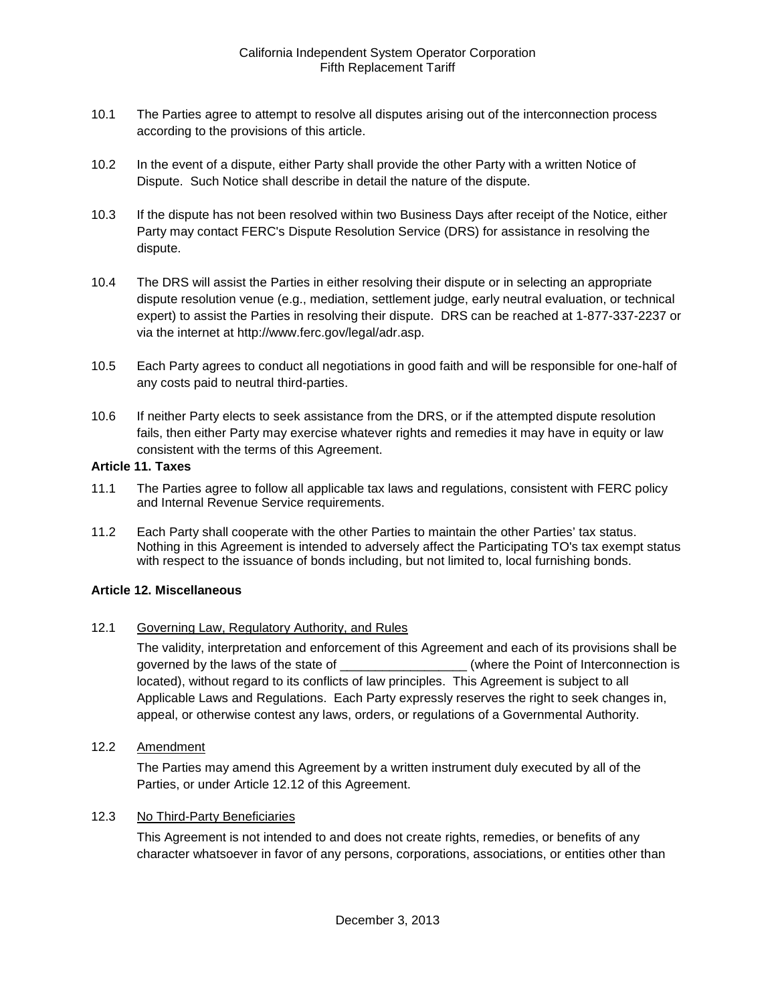- <span id="page-23-0"></span>10.1 The Parties agree to attempt to resolve all disputes arising out of the interconnection process according to the provisions of this article.
- <span id="page-23-1"></span>10.2 In the event of a dispute, either Party shall provide the other Party with a written Notice of Dispute. Such Notice shall describe in detail the nature of the dispute.
- <span id="page-23-2"></span>10.3 If the dispute has not been resolved within two Business Days after receipt of the Notice, either Party may contact FERC's Dispute Resolution Service (DRS) for assistance in resolving the dispute.
- <span id="page-23-3"></span>10.4 The DRS will assist the Parties in either resolving their dispute or in selecting an appropriate dispute resolution venue (e.g., mediation, settlement judge, early neutral evaluation, or technical expert) to assist the Parties in resolving their dispute. DRS can be reached at 1-877-337-2237 or via the internet at http://www.ferc.gov/legal/adr.asp.
- <span id="page-23-4"></span>10.5 Each Party agrees to conduct all negotiations in good faith and will be responsible for one-half of any costs paid to neutral third-parties.
- <span id="page-23-5"></span>10.6 If neither Party elects to seek assistance from the DRS, or if the attempted dispute resolution fails, then either Party may exercise whatever rights and remedies it may have in equity or law consistent with the terms of this Agreement.

#### <span id="page-23-6"></span>**Article 11. Taxes**

- <span id="page-23-7"></span>11.1 The Parties agree to follow all applicable tax laws and regulations, consistent with FERC policy and Internal Revenue Service requirements.
- <span id="page-23-8"></span>11.2 Each Party shall cooperate with the other Parties to maintain the other Parties' tax status. Nothing in this Agreement is intended to adversely affect the Participating TO's tax exempt status with respect to the issuance of bonds including, but not limited to, local furnishing bonds.

#### <span id="page-23-9"></span>**Article 12. Miscellaneous**

<span id="page-23-10"></span>12.1 Governing Law, Regulatory Authority, and Rules

The validity, interpretation and enforcement of this Agreement and each of its provisions shall be governed by the laws of the state of  $\Box$  (where the Point of Interconnection is located), without regard to its conflicts of law principles. This Agreement is subject to all Applicable Laws and Regulations. Each Party expressly reserves the right to seek changes in, appeal, or otherwise contest any laws, orders, or regulations of a Governmental Authority.

<span id="page-23-11"></span>12.2 Amendment

The Parties may amend this Agreement by a written instrument duly executed by all of the Parties, or under Article 12.12 of this Agreement.

#### <span id="page-23-12"></span>12.3 No Third-Party Beneficiaries

This Agreement is not intended to and does not create rights, remedies, or benefits of any character whatsoever in favor of any persons, corporations, associations, or entities other than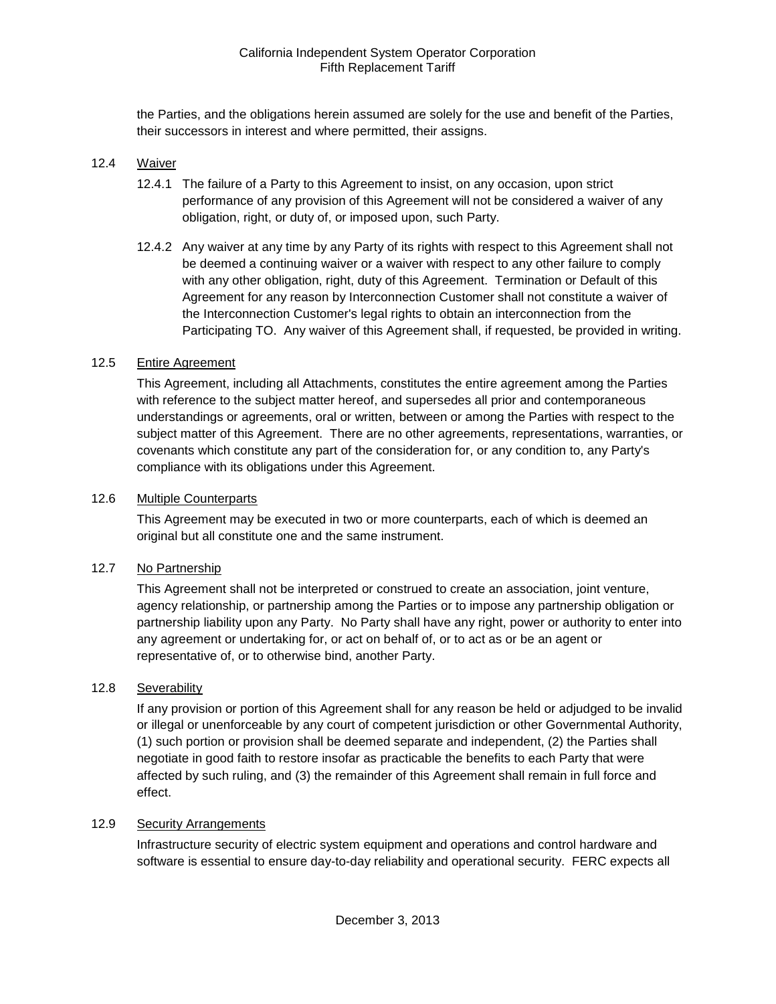the Parties, and the obligations herein assumed are solely for the use and benefit of the Parties, their successors in interest and where permitted, their assigns.

#### <span id="page-24-0"></span>12.4 Waiver

- 12.4.1 The failure of a Party to this Agreement to insist, on any occasion, upon strict performance of any provision of this Agreement will not be considered a waiver of any obligation, right, or duty of, or imposed upon, such Party.
- 12.4.2 Any waiver at any time by any Party of its rights with respect to this Agreement shall not be deemed a continuing waiver or a waiver with respect to any other failure to comply with any other obligation, right, duty of this Agreement. Termination or Default of this Agreement for any reason by Interconnection Customer shall not constitute a waiver of the Interconnection Customer's legal rights to obtain an interconnection from the Participating TO. Any waiver of this Agreement shall, if requested, be provided in writing.

#### <span id="page-24-1"></span>12.5 Entire Agreement

This Agreement, including all Attachments, constitutes the entire agreement among the Parties with reference to the subject matter hereof, and supersedes all prior and contemporaneous understandings or agreements, oral or written, between or among the Parties with respect to the subject matter of this Agreement. There are no other agreements, representations, warranties, or covenants which constitute any part of the consideration for, or any condition to, any Party's compliance with its obligations under this Agreement.

#### <span id="page-24-2"></span>12.6 Multiple Counterparts

This Agreement may be executed in two or more counterparts, each of which is deemed an original but all constitute one and the same instrument.

#### <span id="page-24-3"></span>12.7 No Partnership

This Agreement shall not be interpreted or construed to create an association, joint venture, agency relationship, or partnership among the Parties or to impose any partnership obligation or partnership liability upon any Party. No Party shall have any right, power or authority to enter into any agreement or undertaking for, or act on behalf of, or to act as or be an agent or representative of, or to otherwise bind, another Party.

#### <span id="page-24-4"></span>12.8 Severability

If any provision or portion of this Agreement shall for any reason be held or adjudged to be invalid or illegal or unenforceable by any court of competent jurisdiction or other Governmental Authority, (1) such portion or provision shall be deemed separate and independent, (2) the Parties shall negotiate in good faith to restore insofar as practicable the benefits to each Party that were affected by such ruling, and (3) the remainder of this Agreement shall remain in full force and effect.

#### <span id="page-24-5"></span>12.9 Security Arrangements

Infrastructure security of electric system equipment and operations and control hardware and software is essential to ensure day-to-day reliability and operational security. FERC expects all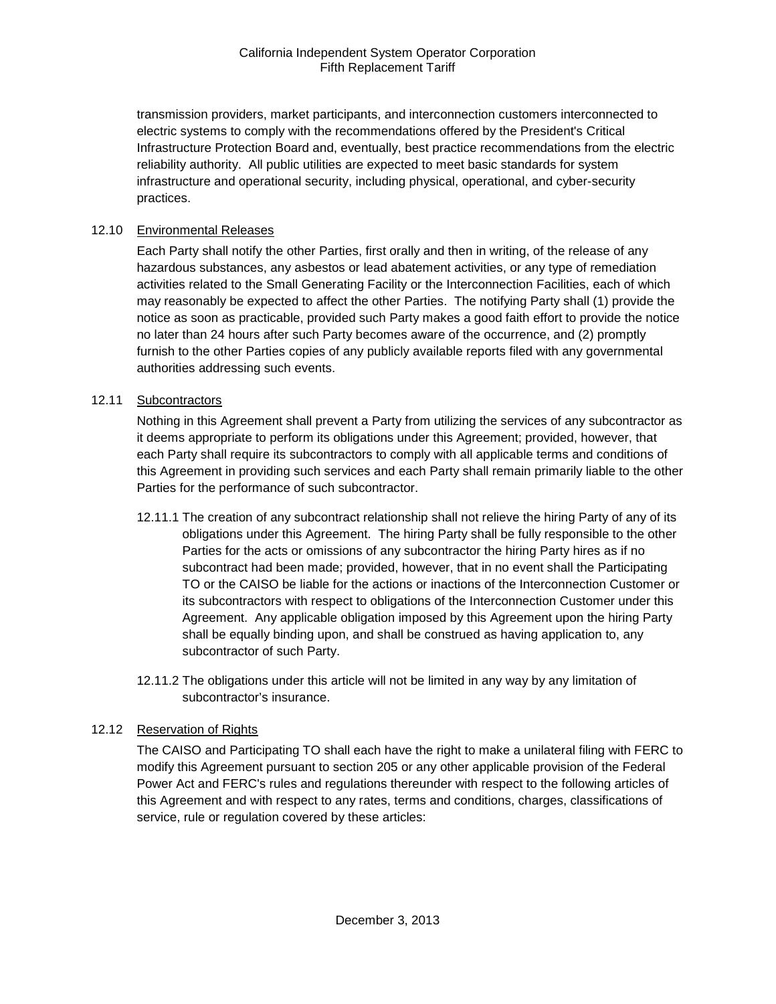transmission providers, market participants, and interconnection customers interconnected to electric systems to comply with the recommendations offered by the President's Critical Infrastructure Protection Board and, eventually, best practice recommendations from the electric reliability authority. All public utilities are expected to meet basic standards for system infrastructure and operational security, including physical, operational, and cyber-security practices.

#### <span id="page-25-0"></span>12.10 Environmental Releases

Each Party shall notify the other Parties, first orally and then in writing, of the release of any hazardous substances, any asbestos or lead abatement activities, or any type of remediation activities related to the Small Generating Facility or the Interconnection Facilities, each of which may reasonably be expected to affect the other Parties. The notifying Party shall (1) provide the notice as soon as practicable, provided such Party makes a good faith effort to provide the notice no later than 24 hours after such Party becomes aware of the occurrence, and (2) promptly furnish to the other Parties copies of any publicly available reports filed with any governmental authorities addressing such events.

#### <span id="page-25-1"></span>12.11 Subcontractors

Nothing in this Agreement shall prevent a Party from utilizing the services of any subcontractor as it deems appropriate to perform its obligations under this Agreement; provided, however, that each Party shall require its subcontractors to comply with all applicable terms and conditions of this Agreement in providing such services and each Party shall remain primarily liable to the other Parties for the performance of such subcontractor.

- 12.11.1 The creation of any subcontract relationship shall not relieve the hiring Party of any of its obligations under this Agreement. The hiring Party shall be fully responsible to the other Parties for the acts or omissions of any subcontractor the hiring Party hires as if no subcontract had been made; provided, however, that in no event shall the Participating TO or the CAISO be liable for the actions or inactions of the Interconnection Customer or its subcontractors with respect to obligations of the Interconnection Customer under this Agreement. Any applicable obligation imposed by this Agreement upon the hiring Party shall be equally binding upon, and shall be construed as having application to, any subcontractor of such Party.
- 12.11.2 The obligations under this article will not be limited in any way by any limitation of subcontractor's insurance.

#### <span id="page-25-2"></span>12.12 Reservation of Rights

The CAISO and Participating TO shall each have the right to make a unilateral filing with FERC to modify this Agreement pursuant to section 205 or any other applicable provision of the Federal Power Act and FERC's rules and regulations thereunder with respect to the following articles of this Agreement and with respect to any rates, terms and conditions, charges, classifications of service, rule or regulation covered by these articles: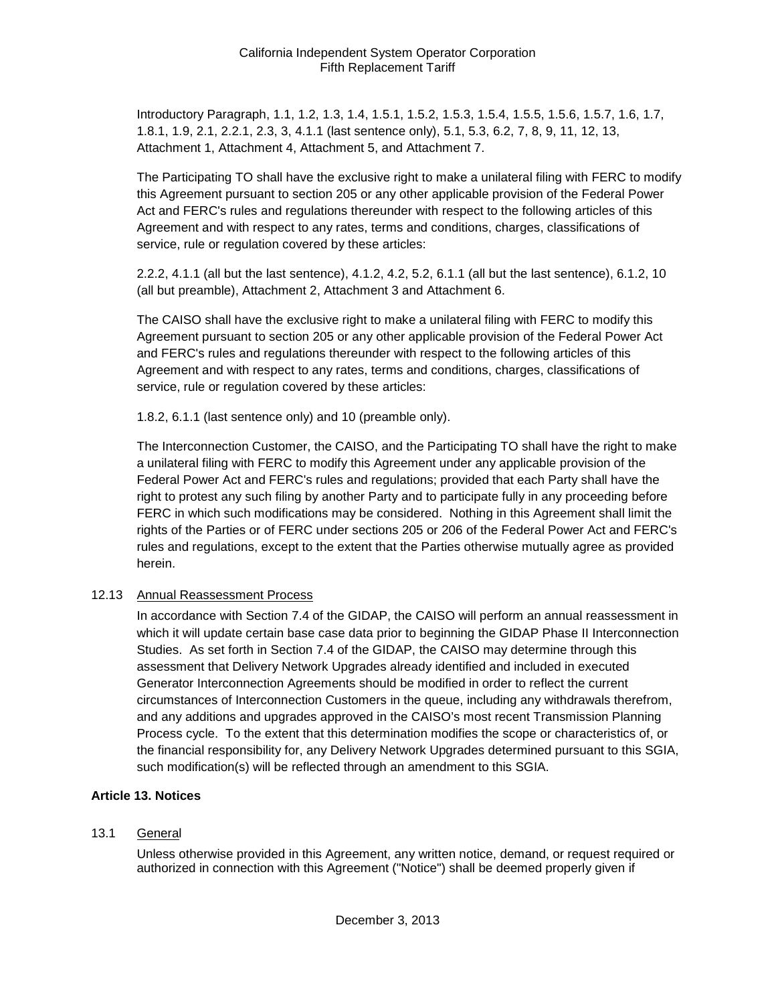Introductory Paragraph, 1.1, 1.2, 1.3, 1.4, 1.5.1, 1.5.2, 1.5.3, 1.5.4, 1.5.5, 1.5.6, 1.5.7, 1.6, 1.7, 1.8.1, 1.9, 2.1, 2.2.1, 2.3, 3, 4.1.1 (last sentence only), 5.1, 5.3, 6.2, 7, 8, 9, 11, 12, 13, Attachment 1, Attachment 4, Attachment 5, and Attachment 7.

The Participating TO shall have the exclusive right to make a unilateral filing with FERC to modify this Agreement pursuant to section 205 or any other applicable provision of the Federal Power Act and FERC's rules and regulations thereunder with respect to the following articles of this Agreement and with respect to any rates, terms and conditions, charges, classifications of service, rule or regulation covered by these articles:

2.2.2, 4.1.1 (all but the last sentence), 4.1.2, 4.2, 5.2, 6.1.1 (all but the last sentence), 6.1.2, 10 (all but preamble), Attachment 2, Attachment 3 and Attachment 6.

The CAISO shall have the exclusive right to make a unilateral filing with FERC to modify this Agreement pursuant to section 205 or any other applicable provision of the Federal Power Act and FERC's rules and regulations thereunder with respect to the following articles of this Agreement and with respect to any rates, terms and conditions, charges, classifications of service, rule or regulation covered by these articles:

1.8.2, 6.1.1 (last sentence only) and 10 (preamble only).

The Interconnection Customer, the CAISO, and the Participating TO shall have the right to make a unilateral filing with FERC to modify this Agreement under any applicable provision of the Federal Power Act and FERC's rules and regulations; provided that each Party shall have the right to protest any such filing by another Party and to participate fully in any proceeding before FERC in which such modifications may be considered. Nothing in this Agreement shall limit the rights of the Parties or of FERC under sections 205 or 206 of the Federal Power Act and FERC's rules and regulations, except to the extent that the Parties otherwise mutually agree as provided herein.

#### <span id="page-26-0"></span>12.13 Annual Reassessment Process

In accordance with Section 7.4 of the GIDAP, the CAISO will perform an annual reassessment in which it will update certain base case data prior to beginning the GIDAP Phase II Interconnection Studies. As set forth in Section 7.4 of the GIDAP, the CAISO may determine through this assessment that Delivery Network Upgrades already identified and included in executed Generator Interconnection Agreements should be modified in order to reflect the current circumstances of Interconnection Customers in the queue, including any withdrawals therefrom, and any additions and upgrades approved in the CAISO's most recent Transmission Planning Process cycle. To the extent that this determination modifies the scope or characteristics of, or the financial responsibility for, any Delivery Network Upgrades determined pursuant to this SGIA, such modification(s) will be reflected through an amendment to this SGIA.

#### <span id="page-26-1"></span>**Article 13. Notices**

#### <span id="page-26-2"></span>13.1 General

Unless otherwise provided in this Agreement, any written notice, demand, or request required or authorized in connection with this Agreement ("Notice") shall be deemed properly given if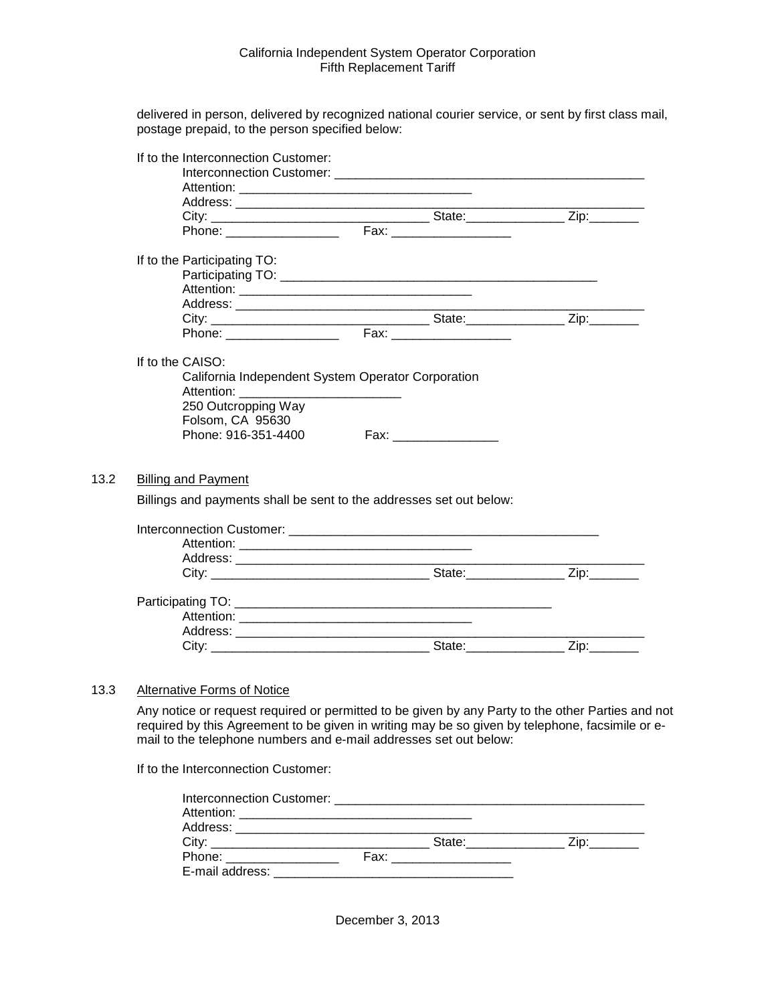delivered in person, delivered by recognized national courier service, or sent by first class mail, postage prepaid, to the person specified below:

| If to the Interconnection Customer: |                                                                     |  |
|-------------------------------------|---------------------------------------------------------------------|--|
|                                     |                                                                     |  |
|                                     |                                                                     |  |
|                                     |                                                                     |  |
|                                     |                                                                     |  |
| If to the Participating TO:         |                                                                     |  |
|                                     |                                                                     |  |
|                                     |                                                                     |  |
|                                     |                                                                     |  |
|                                     |                                                                     |  |
|                                     |                                                                     |  |
| If to the CAISO:                    |                                                                     |  |
|                                     | California Independent System Operator Corporation                  |  |
|                                     |                                                                     |  |
| 250 Outcropping Way                 |                                                                     |  |
| Folsom, CA 95630                    |                                                                     |  |
| Phone: 916-351-4400                 |                                                                     |  |
|                                     |                                                                     |  |
|                                     |                                                                     |  |
| Billing and Payment                 |                                                                     |  |
|                                     | Billings and payments shall be sent to the addresses set out below: |  |
|                                     |                                                                     |  |
|                                     |                                                                     |  |
|                                     |                                                                     |  |
|                                     |                                                                     |  |
|                                     |                                                                     |  |
|                                     |                                                                     |  |
|                                     |                                                                     |  |
|                                     |                                                                     |  |
|                                     |                                                                     |  |

#### <span id="page-27-1"></span>13.3 Alternative Forms of Notice

<span id="page-27-0"></span> $13.2$ 

Any notice or request required or permitted to be given by any Party to the other Parties and not required by this Agreement to be given in writing may be so given by telephone, facsimile or email to the telephone numbers and e-mail addresses set out below:

If to the Interconnection Customer:

|                                                                                                                                                                                                                                | State: will be a state of the state of the state of the state of the state of the state of the state of the state of the state of the state of the state of the state of the state of the state of the state of the state of t |  |
|--------------------------------------------------------------------------------------------------------------------------------------------------------------------------------------------------------------------------------|--------------------------------------------------------------------------------------------------------------------------------------------------------------------------------------------------------------------------------|--|
| Phone: The contract of the contract of the contract of the contract of the contract of the contract of the contract of the contract of the contract of the contract of the contract of the contract of the contract of the con | Fax: _________________                                                                                                                                                                                                         |  |
| E-mail address:                                                                                                                                                                                                                |                                                                                                                                                                                                                                |  |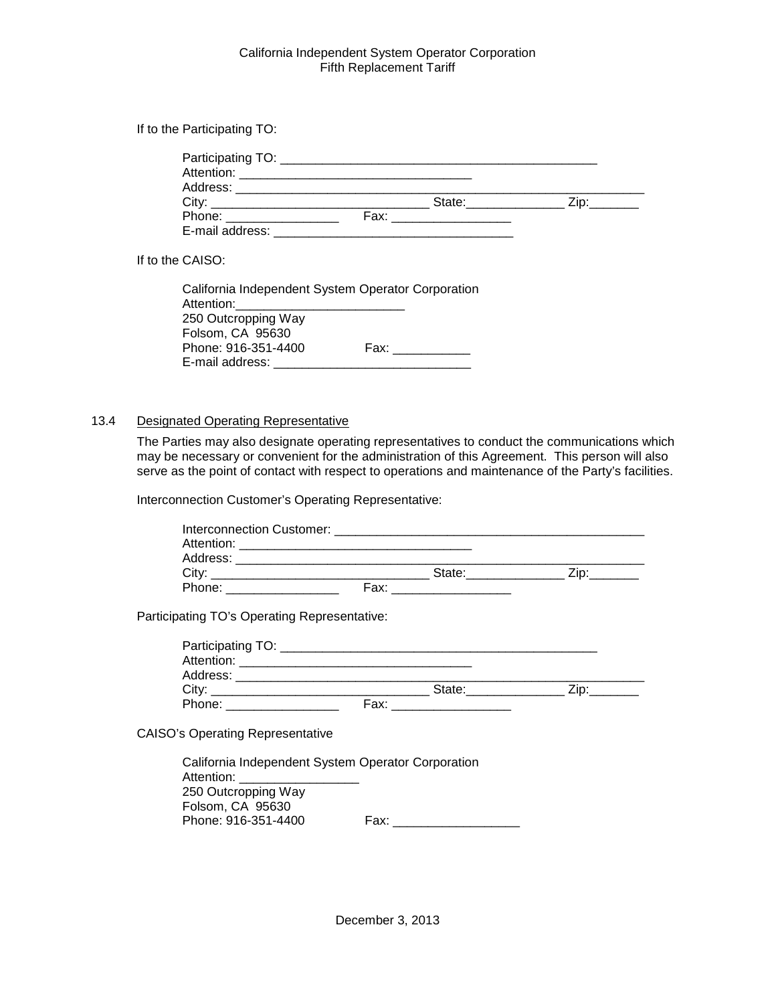If to the Participating TO:

| Address: National Address: |               |                              |
|----------------------------|---------------|------------------------------|
| City:                      | State:_______ | $\mathsf{Zip:}\_\_\_\_\_\_\$ |
| Phone: ________________    |               |                              |
| E-mail address:            |               |                              |

If to the CAISO:

| California Independent System Operator Corporation |                                                                                                                 |
|----------------------------------------------------|-----------------------------------------------------------------------------------------------------------------|
| Attention:                                         |                                                                                                                 |
| 250 Outcropping Way                                |                                                                                                                 |
| Folsom, CA 95630                                   |                                                                                                                 |
| Phone: 916-351-4400                                | Fax: will be a fact to be a fact of the set of the set of the set of the set of the set of the set of the set o |
| E-mail address:                                    |                                                                                                                 |

#### <span id="page-28-0"></span>13.4 Designated Operating Representative

The Parties may also designate operating representatives to conduct the communications which may be necessary or convenient for the administration of this Agreement. This person will also serve as the point of contact with respect to operations and maintenance of the Party's facilities.

Interconnection Customer's Operating Representative:

| Participating TO's Operating Representative: |                                                    |  |
|----------------------------------------------|----------------------------------------------------|--|
|                                              |                                                    |  |
|                                              |                                                    |  |
|                                              |                                                    |  |
|                                              |                                                    |  |
|                                              |                                                    |  |
| <b>CAISO's Operating Representative</b>      |                                                    |  |
|                                              | California Independent System Operator Corporation |  |
| Attention: _____________________             |                                                    |  |
| 250 Outcropping Way                          |                                                    |  |
| Folsom, CA 95630                             |                                                    |  |

Phone: 916-351-4400 Fax: \_\_\_\_\_\_\_\_\_\_\_\_\_\_\_\_\_\_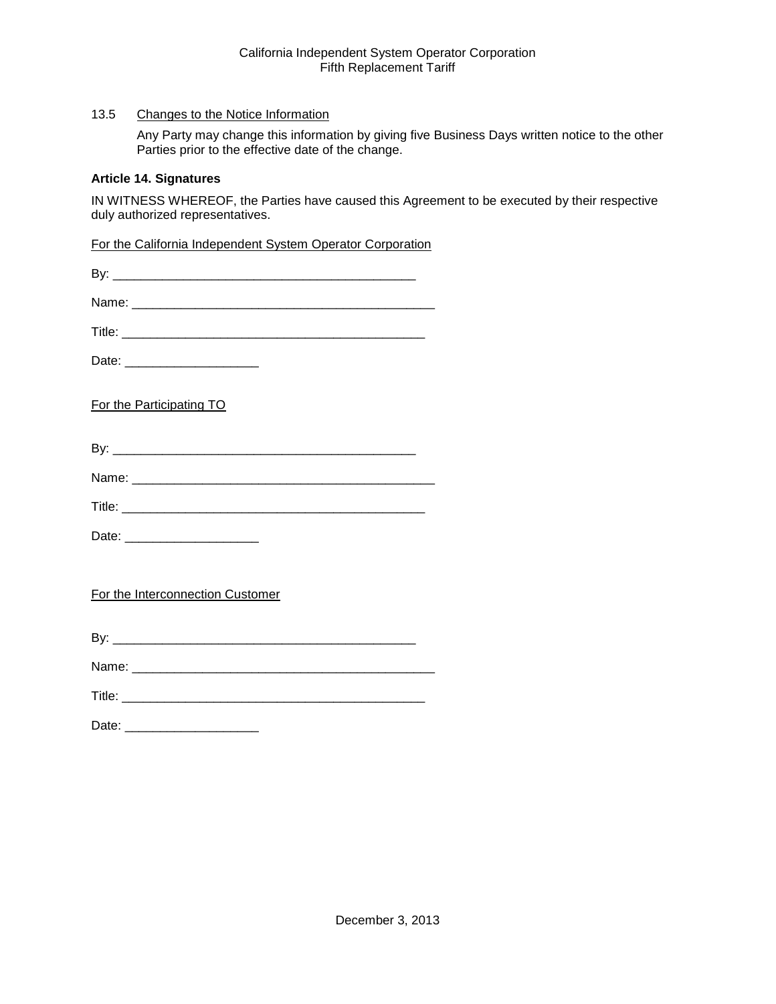# <span id="page-29-0"></span>13.5 Changes to the Notice Information

Any Party may change this information by giving five Business Days written notice to the other Parties prior to the effective date of the change.

#### <span id="page-29-1"></span>**Article 14. Signatures**

IN WITNESS WHEREOF, the Parties have caused this Agreement to be executed by their respective duly authorized representatives.

For the California Independent System Operator Corporation

| Date: ________________________   |
|----------------------------------|
| For the Participating TO         |
|                                  |
|                                  |
|                                  |
| Date: _______________________    |
|                                  |
| For the Interconnection Customer |
|                                  |
|                                  |
|                                  |
| Date: __________________________ |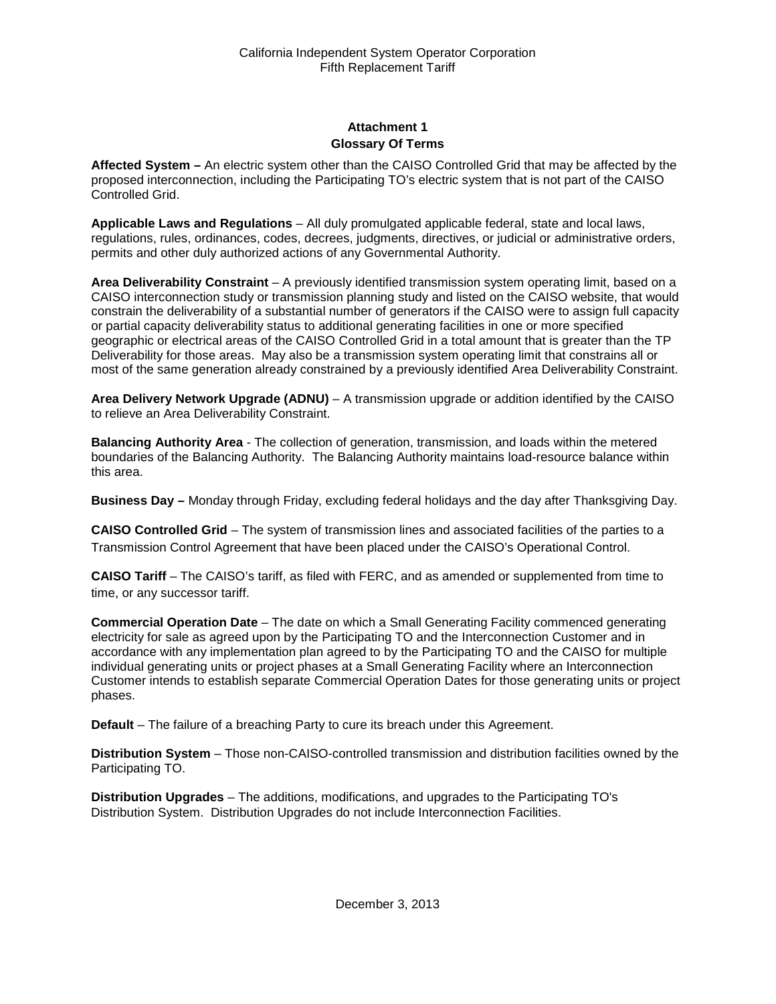# **Attachment 1 Glossary Of Terms**

<span id="page-30-1"></span><span id="page-30-0"></span>**Affected System –** An electric system other than the CAISO Controlled Grid that may be affected by the proposed interconnection, including the Participating TO's electric system that is not part of the CAISO Controlled Grid.

**Applicable Laws and Regulations** – All duly promulgated applicable federal, state and local laws, regulations, rules, ordinances, codes, decrees, judgments, directives, or judicial or administrative orders, permits and other duly authorized actions of any Governmental Authority.

**Area Deliverability Constraint** – A previously identified transmission system operating limit, based on a CAISO interconnection study or transmission planning study and listed on the CAISO website, that would constrain the deliverability of a substantial number of generators if the CAISO were to assign full capacity or partial capacity deliverability status to additional generating facilities in one or more specified geographic or electrical areas of the CAISO Controlled Grid in a total amount that is greater than the TP Deliverability for those areas. May also be a transmission system operating limit that constrains all or most of the same generation already constrained by a previously identified Area Deliverability Constraint.

**Area Delivery Network Upgrade (ADNU)** – A transmission upgrade or addition identified by the CAISO to relieve an Area Deliverability Constraint.

**Balancing Authority Area** - The collection of generation, transmission, and loads within the metered boundaries of the Balancing Authority. The Balancing Authority maintains load-resource balance within this area.

**Business Day –** Monday through Friday, excluding federal holidays and the day after Thanksgiving Day.

**CAISO Controlled Grid** – The system of transmission lines and associated facilities of the parties to a Transmission Control Agreement that have been placed under the CAISO's Operational Control.

**CAISO Tariff** – The CAISO's tariff, as filed with FERC, and as amended or supplemented from time to time, or any successor tariff.

**Commercial Operation Date** – The date on which a Small Generating Facility commenced generating electricity for sale as agreed upon by the Participating TO and the Interconnection Customer and in accordance with any implementation plan agreed to by the Participating TO and the CAISO for multiple individual generating units or project phases at a Small Generating Facility where an Interconnection Customer intends to establish separate Commercial Operation Dates for those generating units or project phases.

**Default** – The failure of a breaching Party to cure its breach under this Agreement.

**Distribution System** – Those non-CAISO-controlled transmission and distribution facilities owned by the Participating TO.

**Distribution Upgrades** – The additions, modifications, and upgrades to the Participating TO's Distribution System. Distribution Upgrades do not include Interconnection Facilities.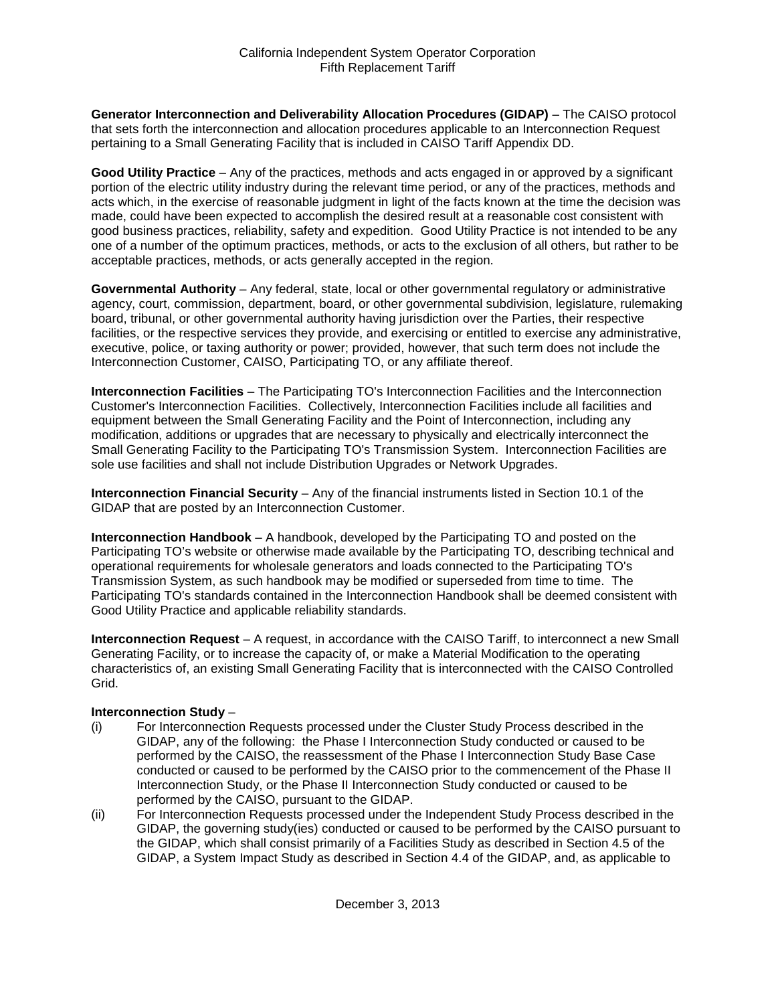**Generator Interconnection and Deliverability Allocation Procedures (GIDAP)** – The CAISO protocol that sets forth the interconnection and allocation procedures applicable to an Interconnection Request pertaining to a Small Generating Facility that is included in CAISO Tariff Appendix DD.

**Good Utility Practice** – Any of the practices, methods and acts engaged in or approved by a significant portion of the electric utility industry during the relevant time period, or any of the practices, methods and acts which, in the exercise of reasonable judgment in light of the facts known at the time the decision was made, could have been expected to accomplish the desired result at a reasonable cost consistent with good business practices, reliability, safety and expedition. Good Utility Practice is not intended to be any one of a number of the optimum practices, methods, or acts to the exclusion of all others, but rather to be acceptable practices, methods, or acts generally accepted in the region.

**Governmental Authority** – Any federal, state, local or other governmental regulatory or administrative agency, court, commission, department, board, or other governmental subdivision, legislature, rulemaking board, tribunal, or other governmental authority having jurisdiction over the Parties, their respective facilities, or the respective services they provide, and exercising or entitled to exercise any administrative, executive, police, or taxing authority or power; provided, however, that such term does not include the Interconnection Customer, CAISO, Participating TO, or any affiliate thereof.

**Interconnection Facilities** – The Participating TO's Interconnection Facilities and the Interconnection Customer's Interconnection Facilities. Collectively, Interconnection Facilities include all facilities and equipment between the Small Generating Facility and the Point of Interconnection, including any modification, additions or upgrades that are necessary to physically and electrically interconnect the Small Generating Facility to the Participating TO's Transmission System. Interconnection Facilities are sole use facilities and shall not include Distribution Upgrades or Network Upgrades.

**Interconnection Financial Security** – Any of the financial instruments listed in Section 10.1 of the GIDAP that are posted by an Interconnection Customer.

**Interconnection Handbook** – A handbook, developed by the Participating TO and posted on the Participating TO's website or otherwise made available by the Participating TO, describing technical and operational requirements for wholesale generators and loads connected to the Participating TO's Transmission System, as such handbook may be modified or superseded from time to time. The Participating TO's standards contained in the Interconnection Handbook shall be deemed consistent with Good Utility Practice and applicable reliability standards.

**Interconnection Request** – A request, in accordance with the CAISO Tariff, to interconnect a new Small Generating Facility, or to increase the capacity of, or make a Material Modification to the operating characteristics of, an existing Small Generating Facility that is interconnected with the CAISO Controlled Grid.

#### **Interconnection Study** –

- (i) For Interconnection Requests processed under the Cluster Study Process described in the GIDAP, any of the following: the Phase I Interconnection Study conducted or caused to be performed by the CAISO, the reassessment of the Phase I Interconnection Study Base Case conducted or caused to be performed by the CAISO prior to the commencement of the Phase II Interconnection Study, or the Phase II Interconnection Study conducted or caused to be performed by the CAISO, pursuant to the GIDAP.
- (ii) For Interconnection Requests processed under the Independent Study Process described in the GIDAP, the governing study(ies) conducted or caused to be performed by the CAISO pursuant to the GIDAP, which shall consist primarily of a Facilities Study as described in Section 4.5 of the GIDAP, a System Impact Study as described in Section 4.4 of the GIDAP, and, as applicable to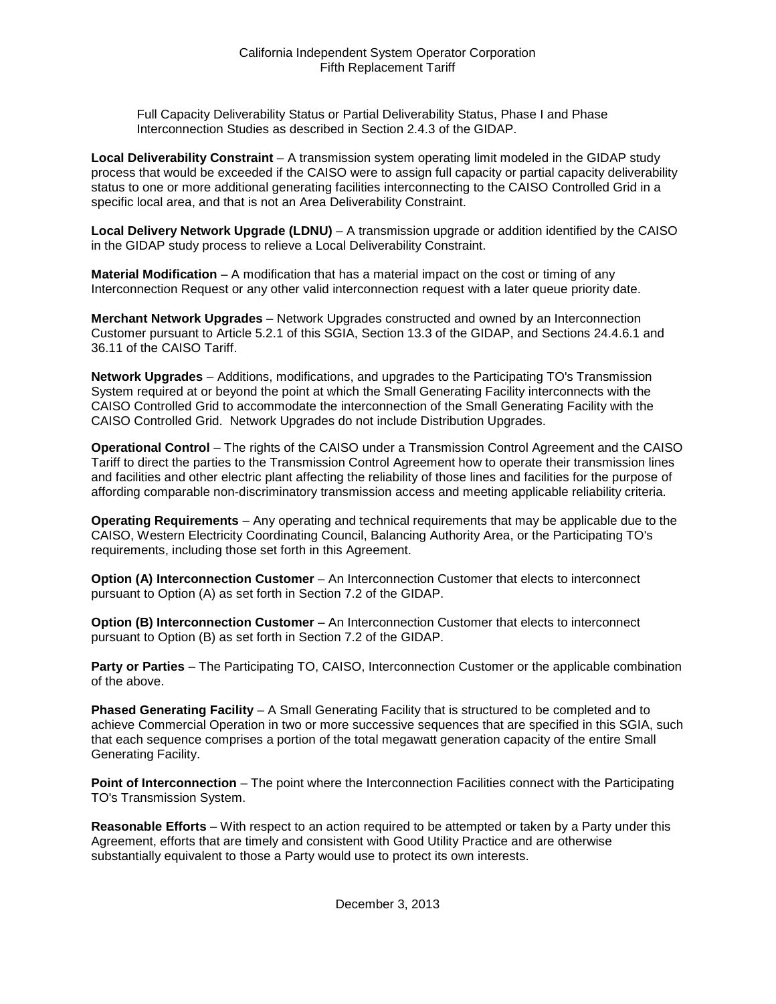Full Capacity Deliverability Status or Partial Deliverability Status, Phase I and Phase Interconnection Studies as described in Section 2.4.3 of the GIDAP.

**Local Deliverability Constraint** – A transmission system operating limit modeled in the GIDAP study process that would be exceeded if the CAISO were to assign full capacity or partial capacity deliverability status to one or more additional generating facilities interconnecting to the CAISO Controlled Grid in a specific local area, and that is not an Area Deliverability Constraint.

**Local Delivery Network Upgrade (LDNU)** – A transmission upgrade or addition identified by the CAISO in the GIDAP study process to relieve a Local Deliverability Constraint.

**Material Modification** – A modification that has a material impact on the cost or timing of any Interconnection Request or any other valid interconnection request with a later queue priority date.

**Merchant Network Upgrades** – Network Upgrades constructed and owned by an Interconnection Customer pursuant to Article 5.2.1 of this SGIA, Section 13.3 of the GIDAP, and Sections 24.4.6.1 and 36.11 of the CAISO Tariff.

**Network Upgrades** – Additions, modifications, and upgrades to the Participating TO's Transmission System required at or beyond the point at which the Small Generating Facility interconnects with the CAISO Controlled Grid to accommodate the interconnection of the Small Generating Facility with the CAISO Controlled Grid. Network Upgrades do not include Distribution Upgrades.

**Operational Control** – The rights of the CAISO under a Transmission Control Agreement and the CAISO Tariff to direct the parties to the Transmission Control Agreement how to operate their transmission lines and facilities and other electric plant affecting the reliability of those lines and facilities for the purpose of affording comparable non-discriminatory transmission access and meeting applicable reliability criteria.

**Operating Requirements** – Any operating and technical requirements that may be applicable due to the CAISO, Western Electricity Coordinating Council, Balancing Authority Area, or the Participating TO's requirements, including those set forth in this Agreement.

**Option (A) Interconnection Customer** – An Interconnection Customer that elects to interconnect pursuant to Option (A) as set forth in Section 7.2 of the GIDAP.

**Option (B) Interconnection Customer** – An Interconnection Customer that elects to interconnect pursuant to Option (B) as set forth in Section 7.2 of the GIDAP.

**Party or Parties** – The Participating TO, CAISO, Interconnection Customer or the applicable combination of the above.

**Phased Generating Facility** – A Small Generating Facility that is structured to be completed and to achieve Commercial Operation in two or more successive sequences that are specified in this SGIA, such that each sequence comprises a portion of the total megawatt generation capacity of the entire Small Generating Facility.

**Point of Interconnection** – The point where the Interconnection Facilities connect with the Participating TO's Transmission System.

**Reasonable Efforts** – With respect to an action required to be attempted or taken by a Party under this Agreement, efforts that are timely and consistent with Good Utility Practice and are otherwise substantially equivalent to those a Party would use to protect its own interests.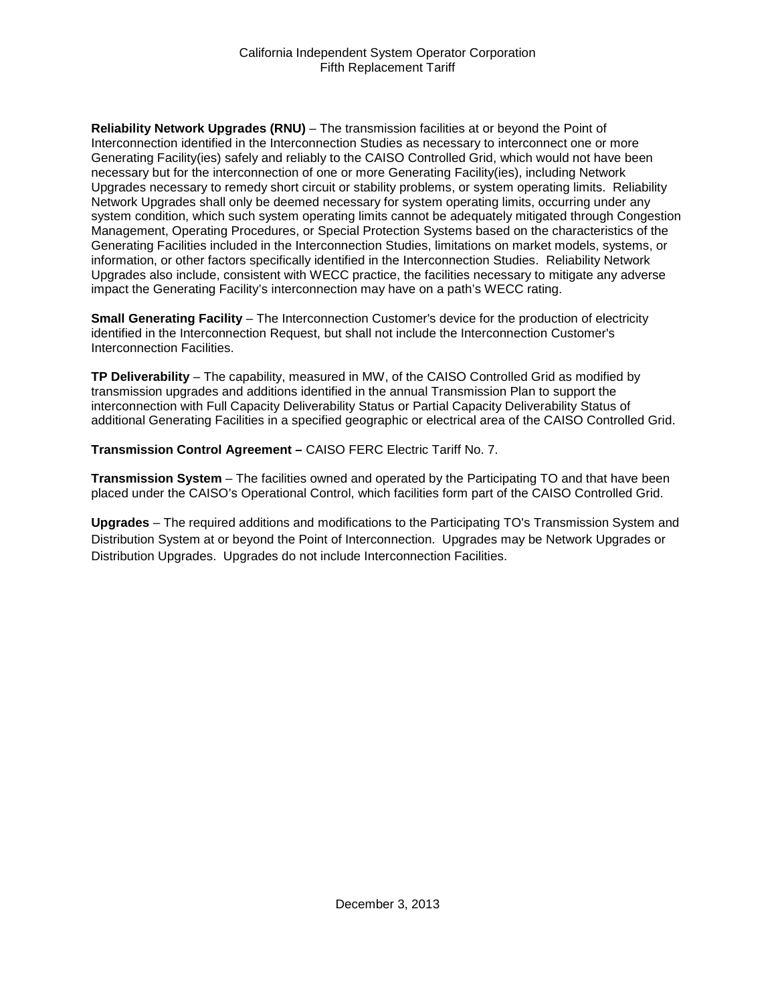**Reliability Network Upgrades (RNU)** – The transmission facilities at or beyond the Point of Interconnection identified in the Interconnection Studies as necessary to interconnect one or more Generating Facility(ies) safely and reliably to the CAISO Controlled Grid, which would not have been necessary but for the interconnection of one or more Generating Facility(ies), including Network Upgrades necessary to remedy short circuit or stability problems, or system operating limits. Reliability Network Upgrades shall only be deemed necessary for system operating limits, occurring under any system condition, which such system operating limits cannot be adequately mitigated through Congestion Management, Operating Procedures, or Special Protection Systems based on the characteristics of the Generating Facilities included in the Interconnection Studies, limitations on market models, systems, or information, or other factors specifically identified in the Interconnection Studies. Reliability Network Upgrades also include, consistent with WECC practice, the facilities necessary to mitigate any adverse impact the Generating Facility's interconnection may have on a path's WECC rating.

**Small Generating Facility** – The Interconnection Customer's device for the production of electricity identified in the Interconnection Request, but shall not include the Interconnection Customer's Interconnection Facilities.

**TP Deliverability** – The capability, measured in MW, of the CAISO Controlled Grid as modified by transmission upgrades and additions identified in the annual Transmission Plan to support the interconnection with Full Capacity Deliverability Status or Partial Capacity Deliverability Status of additional Generating Facilities in a specified geographic or electrical area of the CAISO Controlled Grid.

**Transmission Control Agreement –** CAISO FERC Electric Tariff No. 7.

**Transmission System** – The facilities owned and operated by the Participating TO and that have been placed under the CAISO's Operational Control, which facilities form part of the CAISO Controlled Grid.

**Upgrades** – The required additions and modifications to the Participating TO's Transmission System and Distribution System at or beyond the Point of Interconnection. Upgrades may be Network Upgrades or Distribution Upgrades. Upgrades do not include Interconnection Facilities.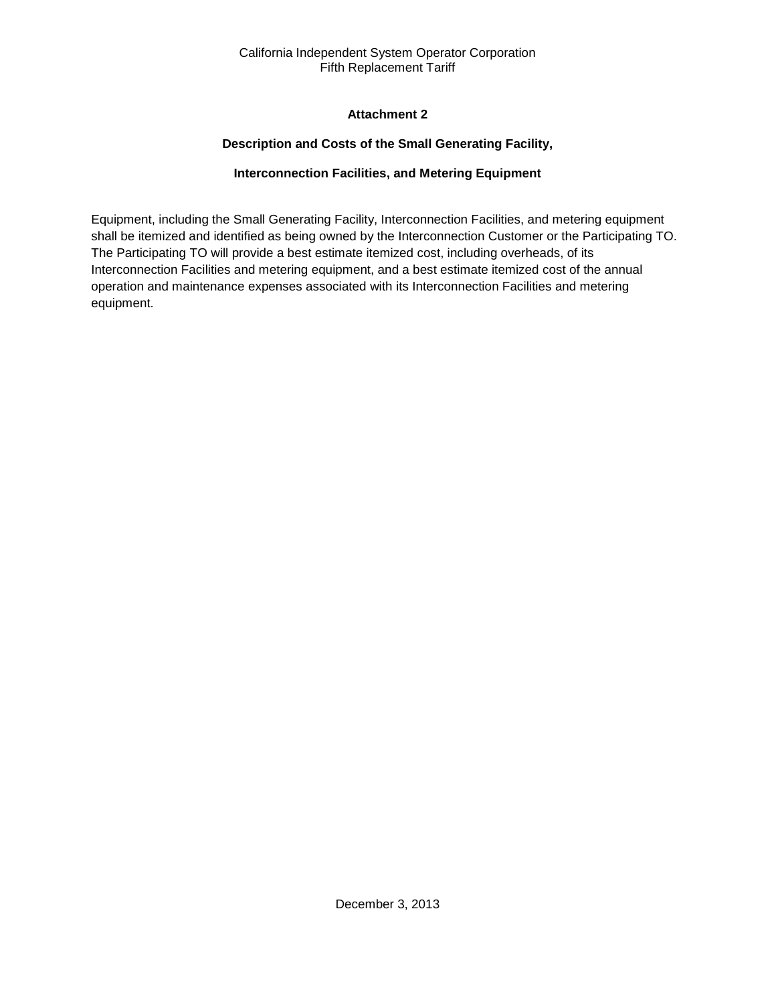# **Attachment 2**

# **Description and Costs of the Small Generating Facility,**

# **Interconnection Facilities, and Metering Equipment**

<span id="page-34-2"></span><span id="page-34-1"></span><span id="page-34-0"></span>Equipment, including the Small Generating Facility, Interconnection Facilities, and metering equipment shall be itemized and identified as being owned by the Interconnection Customer or the Participating TO. The Participating TO will provide a best estimate itemized cost, including overheads, of its Interconnection Facilities and metering equipment, and a best estimate itemized cost of the annual operation and maintenance expenses associated with its Interconnection Facilities and metering equipment.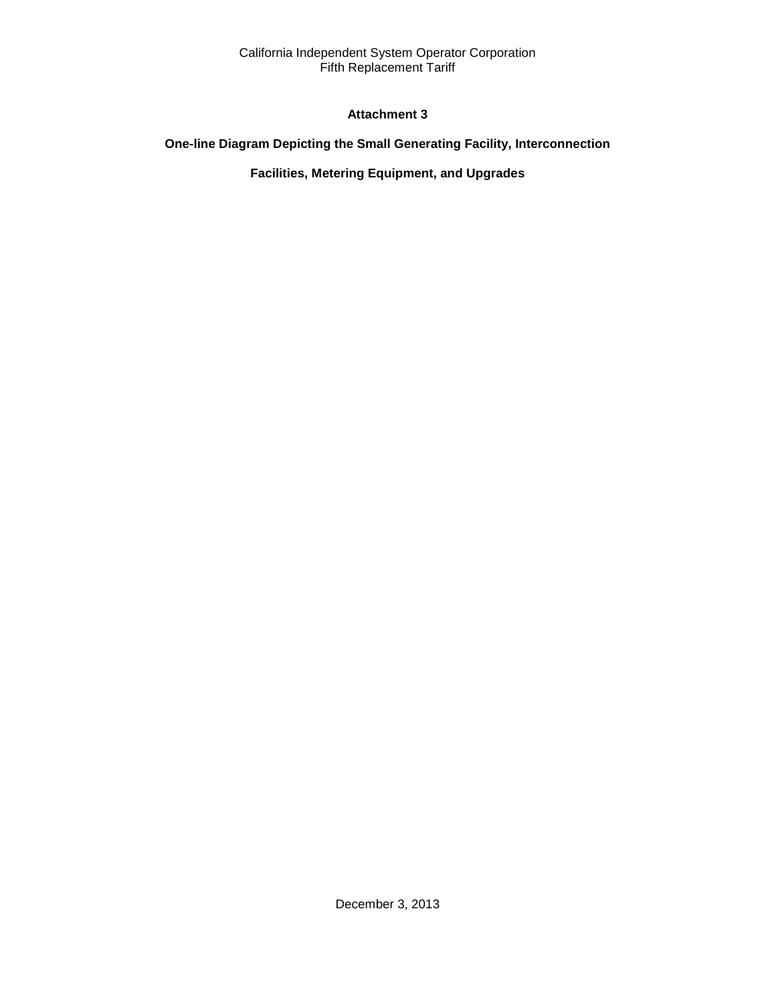# **Attachment 3**

# <span id="page-35-2"></span><span id="page-35-1"></span><span id="page-35-0"></span>**One-line Diagram Depicting the Small Generating Facility, Interconnection**

# **Facilities, Metering Equipment, and Upgrades**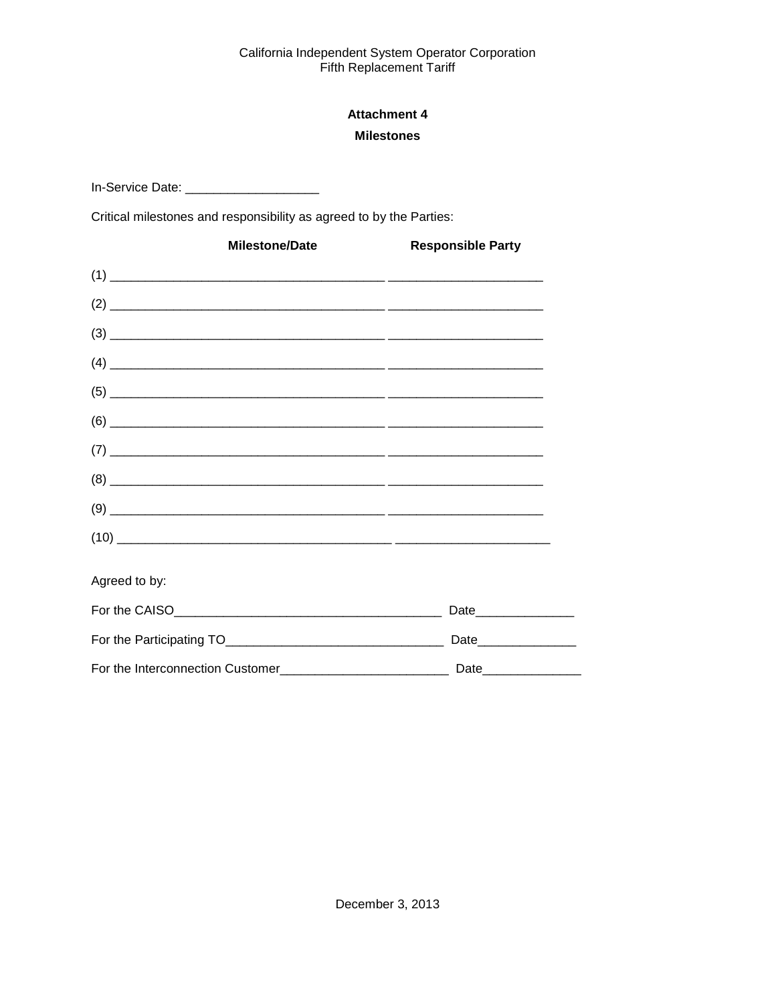# **Attachment 4 Milestones**

<span id="page-36-1"></span><span id="page-36-0"></span>In-Service Date: \_\_\_\_\_\_\_\_\_\_\_\_\_\_\_\_\_\_\_\_\_\_\_\_\_\_

Critical milestones and responsibility as agreed to by the Parties:

| <b>Milestone/Date</b> | <b>Responsible Party</b> |
|-----------------------|--------------------------|
|                       |                          |
|                       |                          |
|                       |                          |
|                       |                          |
|                       |                          |
|                       |                          |
|                       |                          |
|                       |                          |
|                       |                          |
|                       |                          |
| Agreed to by:         |                          |
|                       | Date________________     |
|                       | Date_________________    |
|                       |                          |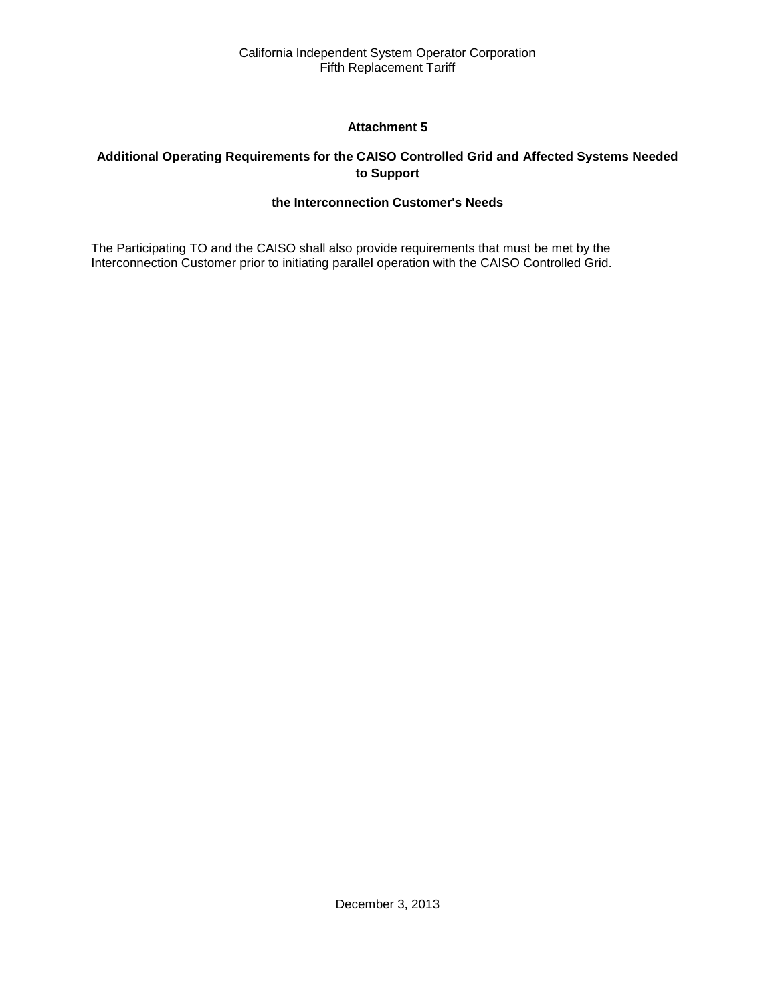# **Attachment 5**

# <span id="page-37-2"></span><span id="page-37-1"></span><span id="page-37-0"></span>**Additional Operating Requirements for the CAISO Controlled Grid and Affected Systems Needed to Support**

# **the Interconnection Customer's Needs**

The Participating TO and the CAISO shall also provide requirements that must be met by the Interconnection Customer prior to initiating parallel operation with the CAISO Controlled Grid.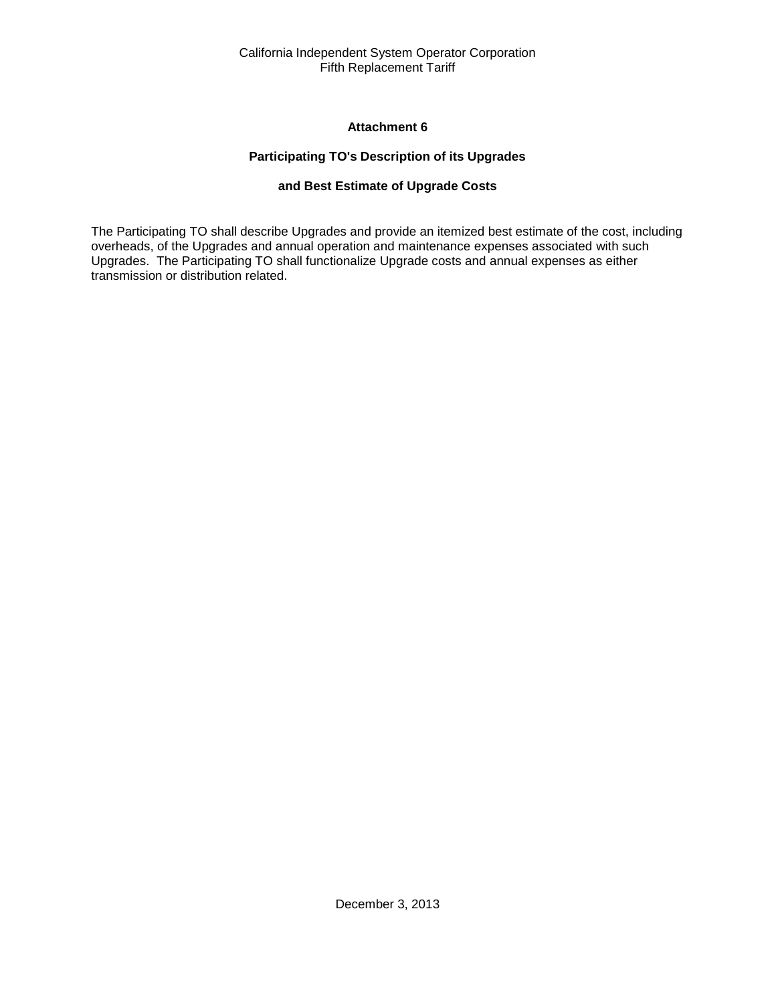# **Attachment 6**

# **Participating TO's Description of its Upgrades**

# **and Best Estimate of Upgrade Costs**

<span id="page-38-2"></span><span id="page-38-1"></span><span id="page-38-0"></span>The Participating TO shall describe Upgrades and provide an itemized best estimate of the cost, including overheads, of the Upgrades and annual operation and maintenance expenses associated with such Upgrades. The Participating TO shall functionalize Upgrade costs and annual expenses as either transmission or distribution related.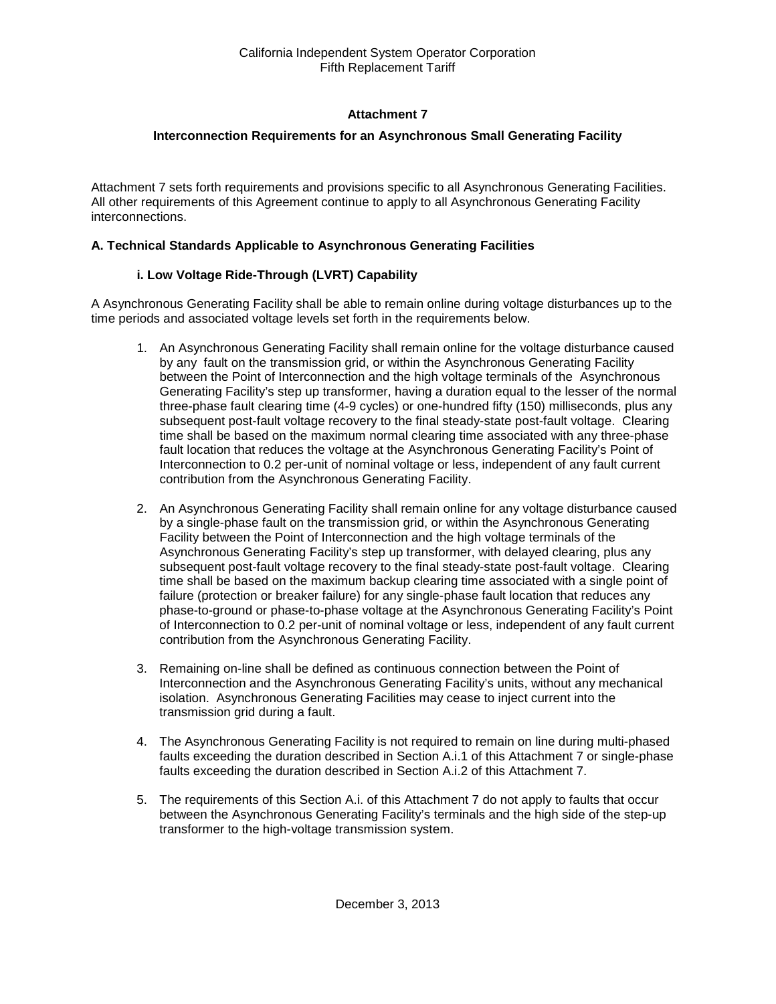# **Attachment 7**

# <span id="page-39-0"></span>**Interconnection Requirements for an Asynchronous Small Generating Facility**

<span id="page-39-1"></span>Attachment 7 sets forth requirements and provisions specific to all Asynchronous Generating Facilities. All other requirements of this Agreement continue to apply to all Asynchronous Generating Facility interconnections.

#### **A. Technical Standards Applicable to Asynchronous Generating Facilities**

# **i. Low Voltage Ride-Through (LVRT) Capability**

A Asynchronous Generating Facility shall be able to remain online during voltage disturbances up to the time periods and associated voltage levels set forth in the requirements below.

- 1. An Asynchronous Generating Facility shall remain online for the voltage disturbance caused by any fault on the transmission grid, or within the Asynchronous Generating Facility between the Point of Interconnection and the high voltage terminals of the Asynchronous Generating Facility's step up transformer, having a duration equal to the lesser of the normal three-phase fault clearing time (4-9 cycles) or one-hundred fifty (150) milliseconds, plus any subsequent post-fault voltage recovery to the final steady-state post-fault voltage. Clearing time shall be based on the maximum normal clearing time associated with any three-phase fault location that reduces the voltage at the Asynchronous Generating Facility's Point of Interconnection to 0.2 per-unit of nominal voltage or less, independent of any fault current contribution from the Asynchronous Generating Facility.
- 2. An Asynchronous Generating Facility shall remain online for any voltage disturbance caused by a single-phase fault on the transmission grid, or within the Asynchronous Generating Facility between the Point of Interconnection and the high voltage terminals of the Asynchronous Generating Facility's step up transformer, with delayed clearing, plus any subsequent post-fault voltage recovery to the final steady-state post-fault voltage. Clearing time shall be based on the maximum backup clearing time associated with a single point of failure (protection or breaker failure) for any single-phase fault location that reduces any phase-to-ground or phase-to-phase voltage at the Asynchronous Generating Facility's Point of Interconnection to 0.2 per-unit of nominal voltage or less, independent of any fault current contribution from the Asynchronous Generating Facility.
- 3. Remaining on-line shall be defined as continuous connection between the Point of Interconnection and the Asynchronous Generating Facility's units, without any mechanical isolation. Asynchronous Generating Facilities may cease to inject current into the transmission grid during a fault.
- 4. The Asynchronous Generating Facility is not required to remain on line during multi-phased faults exceeding the duration described in Section A.i.1 of this Attachment 7 or single-phase faults exceeding the duration described in Section A.i.2 of this Attachment 7.
- 5. The requirements of this Section A.i. of this Attachment 7 do not apply to faults that occur between the Asynchronous Generating Facility's terminals and the high side of the step-up transformer to the high-voltage transmission system.